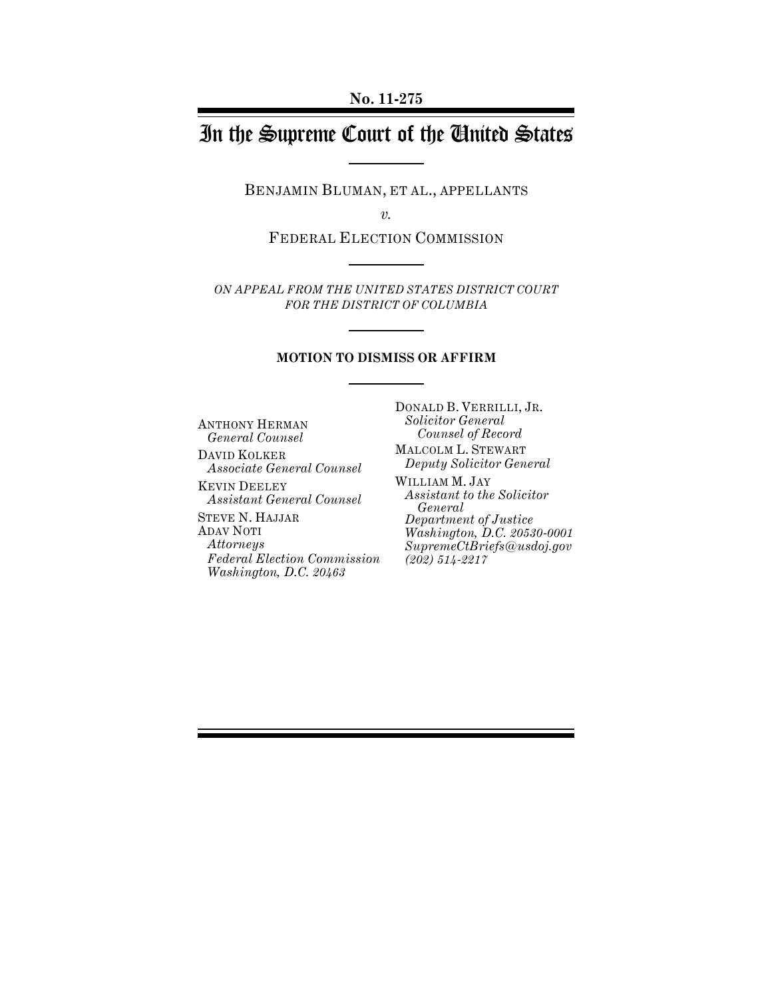# In the Supreme Court of the United States

BENJAMIN BLUMAN, ET AL., APPELLANTS

*v.*

FEDERAL ELECTION COMMISSION

*ON APPEAL FROM THE UNITED STATES DISTRICT COURT FOR THE DISTRICT OF COLUMBIA*

### **MOTION TO DISMISS OR AFFIRM**

ANTHONY HERMAN *General Counsel*

DAVID KOLKER *Associate General Counsel*

KEVIN DEELEY *Assistant General Counsel*

STEVE N. HAJJAR ADAV NOTI *Attorneys Federal Election Commission Washington, D.C. 20463*

DONALD B. VERRILLI, JR. *Solicitor General Counsel of Record*

- MALCOLM L. STEWART *Deputy Solicitor General*
- WILLIAM M. JAY *Assistant to the Solicitor General Department of Justice Washington, D.C. 20530-0001 SupremeCtBriefs@usdoj.gov (202) 514-2217*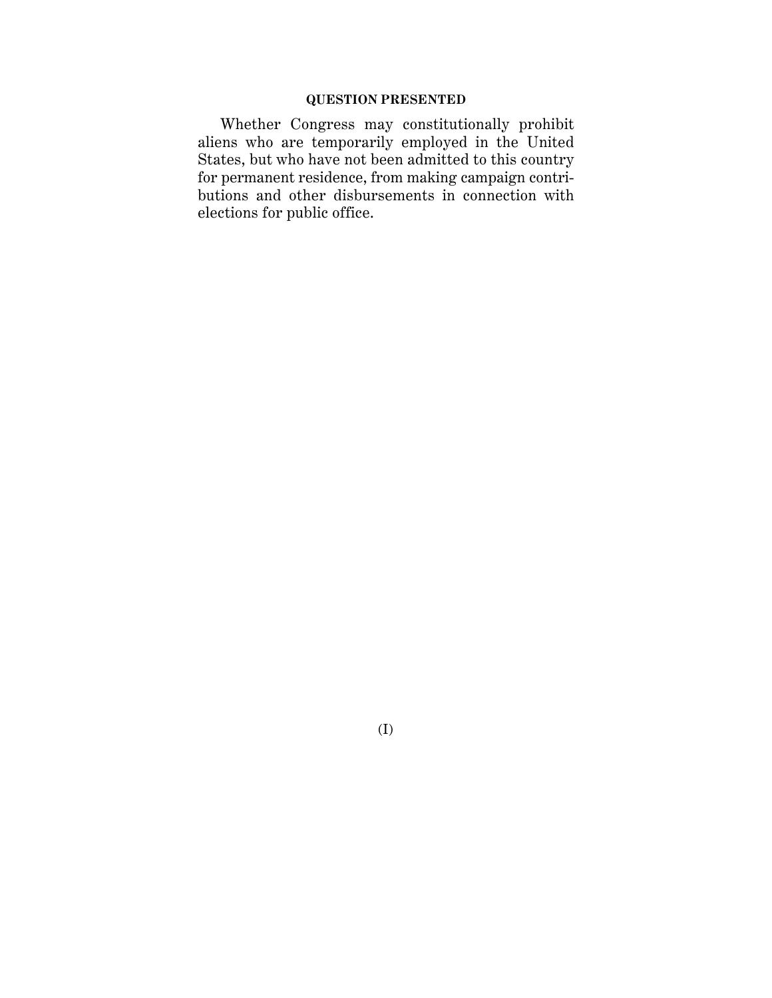### **QUESTION PRESENTED**

Whether Congress may constitutionally prohibit aliens who are temporarily employed in the United States, but who have not been admitted to this country for permanent residence, from making campaign contributions and other disbursements in connection with elections for public office.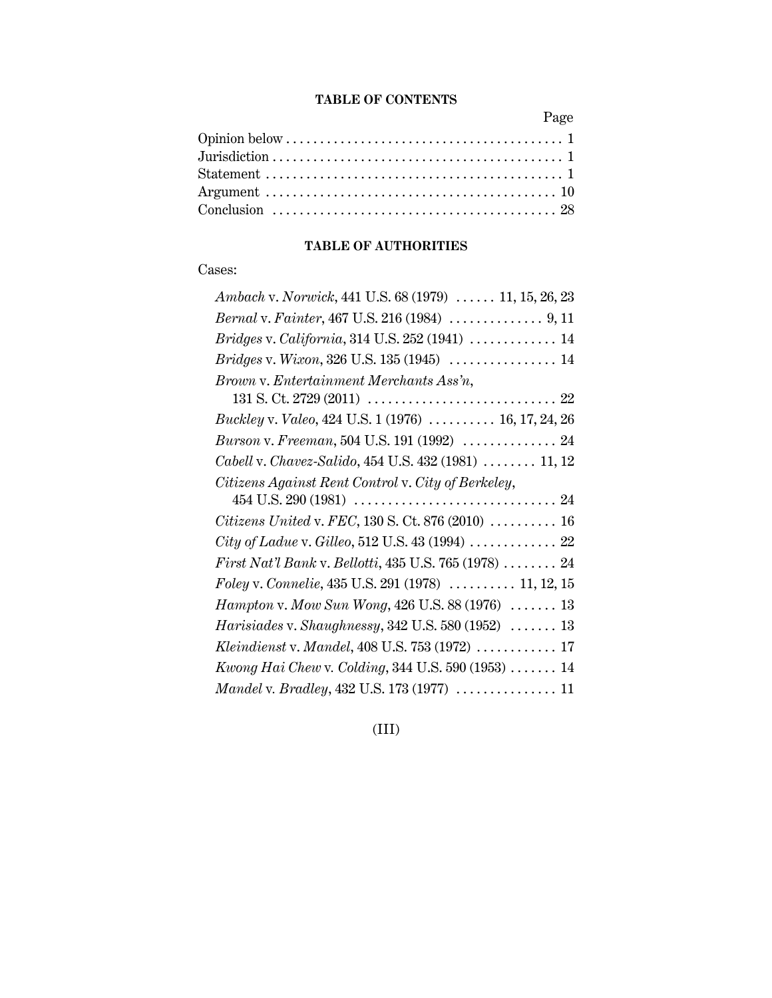### **TABLE OF CONTENTS**

Page

### **TABLE OF AUTHORITIES**

## Cases:

| Ambach v. Norwick, 441 U.S. 68 (1979)  11, 15, 26, 23             |
|-------------------------------------------------------------------|
| Bernal v. Fainter, 467 U.S. 216 (1984)  9, 11                     |
| Bridges v. California, 314 U.S. 252 (1941)  14                    |
| Bridges v. Wixon, 326 U.S. 135 (1945)  14                         |
| Brown v. Entertainment Merchants Ass'n,                           |
|                                                                   |
| <i>Buckley v. Valeo, 424 U.S. 1 (1976)  16, 17, 24, 26</i>        |
| Burson v. Freeman, 504 U.S. 191 (1992)  24                        |
| Cabell v. Chavez-Salido, 454 U.S. 432 (1981)  11, 12              |
| Citizens Against Rent Control v. City of Berkeley,                |
|                                                                   |
| Citizens United v. FEC, 130 S. Ct. 876 (2010)  16                 |
| City of Ladue v. Gilleo, 512 U.S. 43 (1994)  22                   |
| First Nat'l Bank v. Bellotti, 435 U.S. 765 (1978)  24             |
| Foley v. Connelie, $435$ U.S. $291$ $(1978)$ 11, 12, 15           |
| Hampton v. Mow Sun Wong, 426 U.S. 88 (1976)  13                   |
| Harisiades v. Shaughnessy, 342 U.S. 580 (1952) $\ldots \ldots$ 13 |
| Kleindienst v. Mandel, 408 U.S. 753 (1972)  17                    |
| Kwong Hai Chew v. Colding, 344 U.S. 590 (1953)  14                |
| Mandel v. Bradley, 432 U.S. 173 (1977)  11                        |

(III)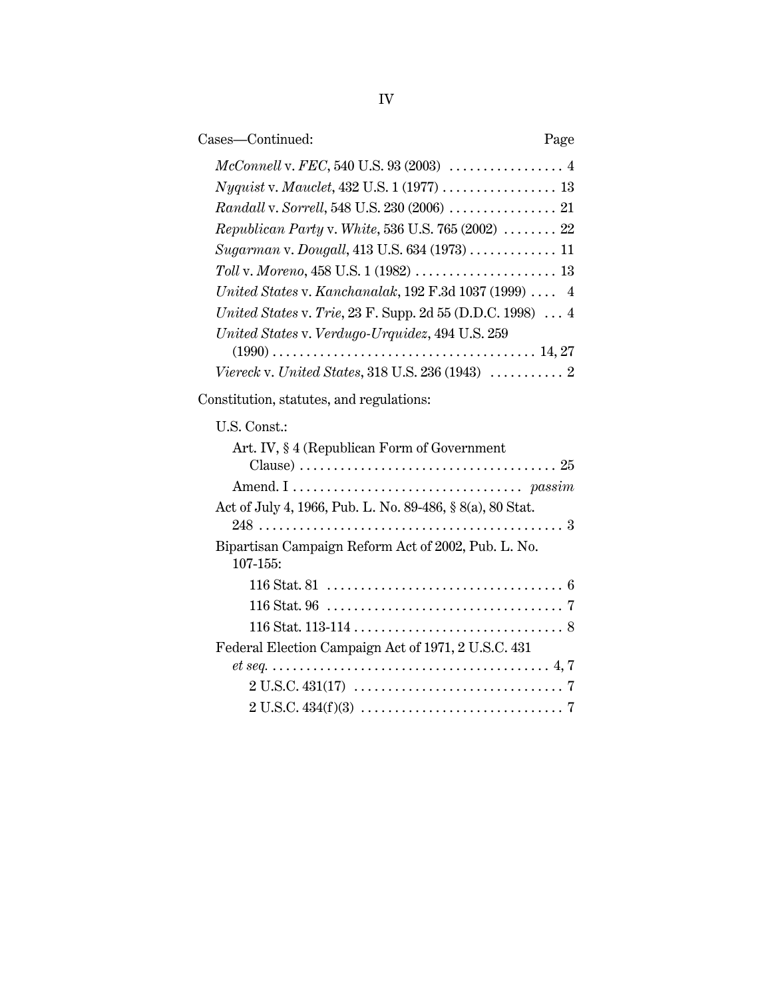| Cases-Continued:                                                  | Page |
|-------------------------------------------------------------------|------|
|                                                                   |      |
| <i>Nyquist</i> v. <i>Mauclet</i> , 432 U.S. 1 (1977) 13           |      |
|                                                                   |      |
| Republican Party v. White, 536 U.S. 765 (2002) $\ldots \ldots$ 22 |      |
| Sugarman v. Dougall, 413 U.S. 634 (1973)  11                      |      |
|                                                                   |      |
| United States v. Kanchanalak, 192 F.3d 1037 (1999) $\ldots$ 4     |      |
| United States v. Trie, 23 F. Supp. 2d 55 (D.D.C. 1998)  4         |      |
| United States v. Verdugo-Urquidez, 494 U.S. 259                   |      |
|                                                                   |      |
|                                                                   |      |

Constitution, statutes, and regulations:

## U.S. Const.:

| Art. IV, §4 (Republican Form of Government                                                                    |
|---------------------------------------------------------------------------------------------------------------|
|                                                                                                               |
|                                                                                                               |
| Act of July 4, 1966, Pub. L. No. 89-486, § 8(a), 80 Stat.                                                     |
|                                                                                                               |
| Bipartisan Campaign Reform Act of 2002, Pub. L. No.                                                           |
| $107 - 155$ :                                                                                                 |
|                                                                                                               |
|                                                                                                               |
|                                                                                                               |
| Federal Election Campaign Act of 1971, 2 U.S.C. 431                                                           |
|                                                                                                               |
| $2 U.S.C. 431(17) \ldots \ldots \ldots \ldots \ldots \ldots \ldots \ldots \ldots \ldots \ldots \ldots \ldots$ |
|                                                                                                               |
|                                                                                                               |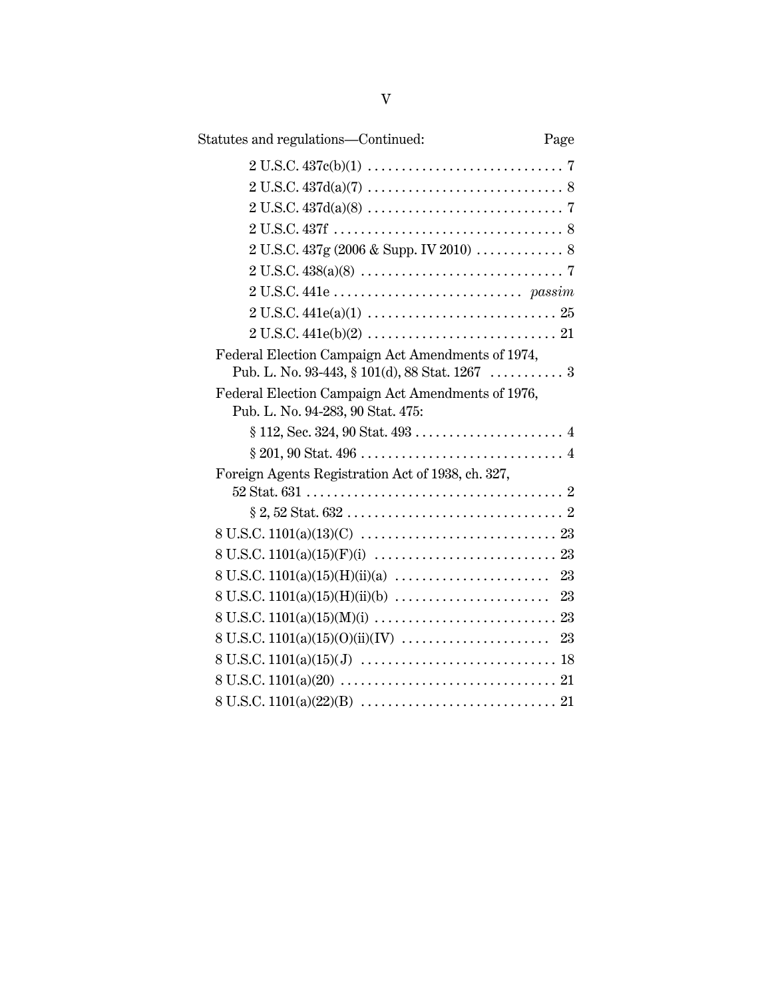| Statutes and regulations—Continued:                                                                 | Page |
|-----------------------------------------------------------------------------------------------------|------|
| $2 U.S.C. 437c(b)(1) \ldots \ldots \ldots \ldots \ldots \ldots \ldots \ldots \ldots \ldots \ldots$  |      |
| $2 U.S.C. 437d(a)(7) \ldots \ldots \ldots \ldots \ldots \ldots \ldots \ldots \ldots 8$              |      |
| $2 U.S.C. 437d(a)(8) \ldots \ldots \ldots \ldots \ldots \ldots \ldots \ldots \ldots \ldots \ldots$  |      |
|                                                                                                     |      |
|                                                                                                     |      |
|                                                                                                     |      |
|                                                                                                     |      |
| $2 U.S.C. 441e(a)(1) \ldots \ldots \ldots \ldots \ldots \ldots \ldots \ldots \ldots 25$             |      |
| $2 U.S.C. 441e(b)(2) \ldots \ldots \ldots \ldots \ldots \ldots \ldots \ldots \ldots 21$             |      |
| Federal Election Campaign Act Amendments of 1974,<br>Pub. L. No. 93-443, § 101(d), 88 Stat. 1267  3 |      |
| Federal Election Campaign Act Amendments of 1976,<br>Pub. L. No. 94-283, 90 Stat. 475:              |      |
|                                                                                                     |      |
|                                                                                                     |      |
| Foreign Agents Registration Act of 1938, ch. 327,                                                   |      |
|                                                                                                     |      |
|                                                                                                     |      |
|                                                                                                     |      |
|                                                                                                     |      |
|                                                                                                     |      |
|                                                                                                     |      |
|                                                                                                     |      |
|                                                                                                     |      |
|                                                                                                     |      |
|                                                                                                     |      |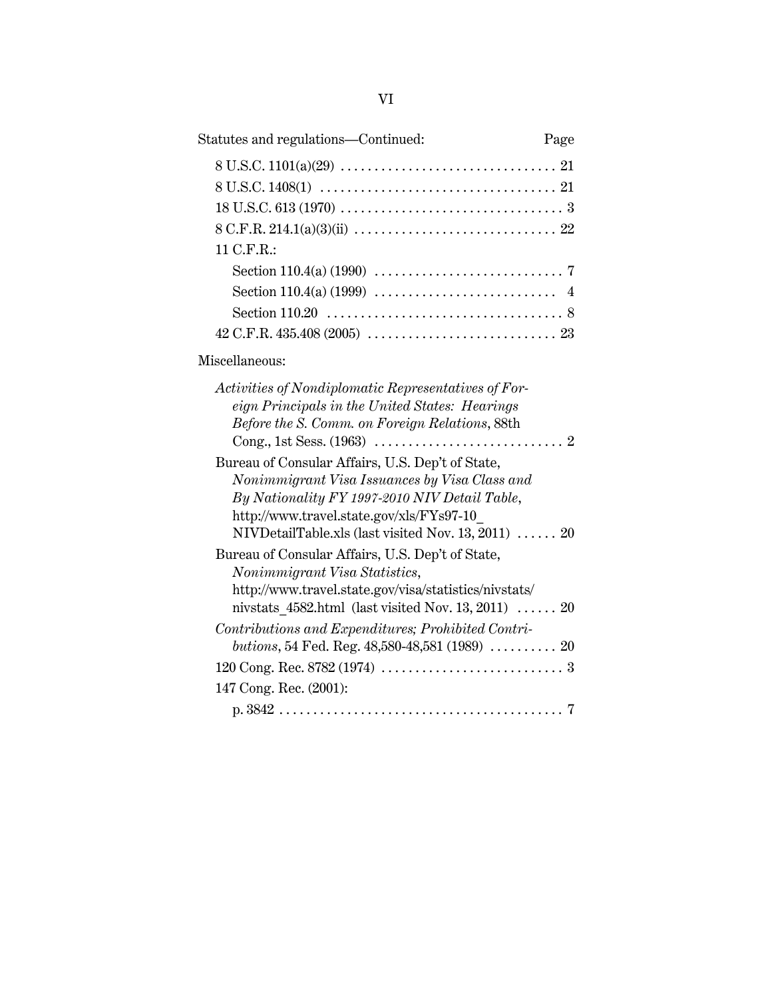| Statutes and regulations—Continued:                                                                                                                                                                                                                   | Page |
|-------------------------------------------------------------------------------------------------------------------------------------------------------------------------------------------------------------------------------------------------------|------|
|                                                                                                                                                                                                                                                       |      |
|                                                                                                                                                                                                                                                       |      |
|                                                                                                                                                                                                                                                       |      |
|                                                                                                                                                                                                                                                       |      |
| 11 C.F.R.:                                                                                                                                                                                                                                            |      |
|                                                                                                                                                                                                                                                       |      |
|                                                                                                                                                                                                                                                       |      |
|                                                                                                                                                                                                                                                       |      |
|                                                                                                                                                                                                                                                       |      |
| Miscellaneous:                                                                                                                                                                                                                                        |      |
| Activities of Nondiplomatic Representatives of For-<br>eign Principals in the United States: Hearings<br>Before the S. Comm. on Foreign Relations, 88th                                                                                               |      |
| Bureau of Consular Affairs, U.S. Dep't of State,<br>Nonimmigrant Visa Issuances by Visa Class and<br>By Nationality FY 1997-2010 NIV Detail Table,<br>http://www.travel.state.gov/xls/FYs97-10<br>NIVDetailTable.xls (last visited Nov. 13, 2011)  20 |      |
| Bureau of Consular Affairs, U.S. Dep't of State,<br>Nonimmigrant Visa Statistics,<br>http://www.travel.state.gov/visa/statistics/nivstats/<br>nivstats $4582.html$ (last visited Nov. 13, 2011)  20                                                   |      |
| Contributions and Expenditures; Prohibited Contri-<br>butions, 54 Fed. Reg. $48,580-48,581$ (1989)  20                                                                                                                                                |      |
|                                                                                                                                                                                                                                                       |      |
| 147 Cong. Rec. (2001):                                                                                                                                                                                                                                |      |
|                                                                                                                                                                                                                                                       |      |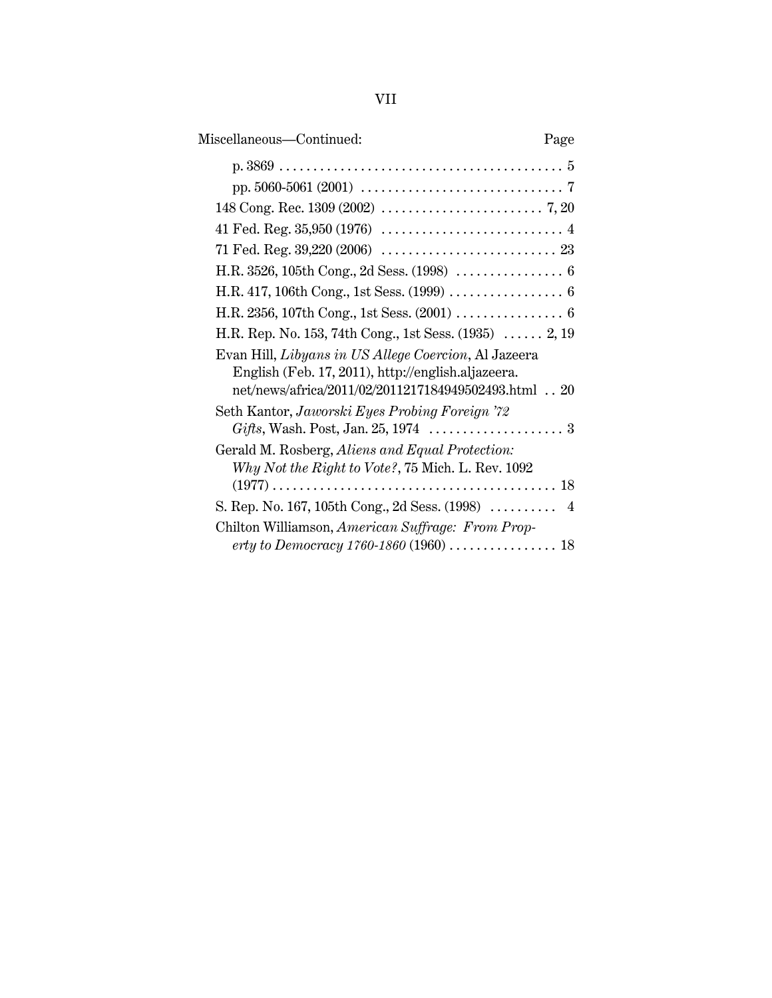| × | ٠ | ٠ |
|---|---|---|
|   |   |   |
|   |   |   |
|   |   |   |

| Miscellaneous-Continued:<br>Page                                                                                                                                   |
|--------------------------------------------------------------------------------------------------------------------------------------------------------------------|
|                                                                                                                                                                    |
|                                                                                                                                                                    |
|                                                                                                                                                                    |
|                                                                                                                                                                    |
|                                                                                                                                                                    |
|                                                                                                                                                                    |
|                                                                                                                                                                    |
|                                                                                                                                                                    |
| H.R. Rep. No. 153, 74th Cong., 1st Sess. $(1935)$ 2, 19                                                                                                            |
| Evan Hill, Libyans in US Allege Coercion, Al Jazeera<br>English (Feb. 17, 2011), http://english.aljazeera.<br>net/news/africa/2011/02/2011217184949502493.html  20 |
| Seth Kantor, Jaworski Eyes Probing Foreign '72                                                                                                                     |
|                                                                                                                                                                    |
| Gerald M. Rosberg, Aliens and Equal Protection:<br>Why Not the Right to Vote?, 75 Mich. L. Rev. 1092                                                               |
| S. Rep. No. 167, 105th Cong., 2d Sess. (1998)  4                                                                                                                   |
| Chilton Williamson, American Suffrage: From Prop-                                                                                                                  |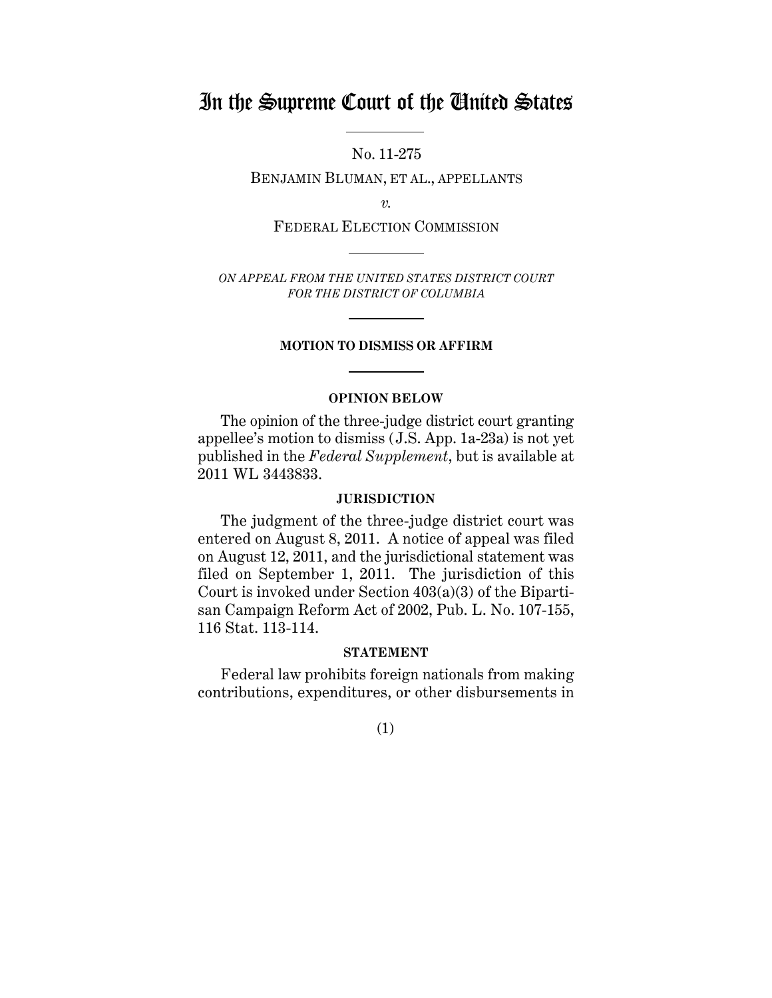## In the Supreme Court of the United States

No. 11-275

BENJAMIN BLUMAN, ET AL., APPELLANTS

*v.*

FEDERAL ELECTION COMMISSION

*ON APPEAL FROM THE UNITED STATES DISTRICT COURT FOR THE DISTRICT OF COLUMBIA*

#### **MOTION TO DISMISS OR AFFIRM**

### **OPINION BELOW**

The opinion of the three-judge district court granting appellee's motion to dismiss (J.S. App. 1a-23a) is not yet published in the *Federal Supplement*, but is available at 2011 WL 3443833.

### **JURISDICTION**

The judgment of the three-judge district court was entered on August 8, 2011. A notice of appeal was filed on August 12, 2011, and the jurisdictional statement was filed on September 1, 2011. The jurisdiction of this Court is invoked under Section  $403(a)(3)$  of the Bipartisan Campaign Reform Act of 2002, Pub. L. No. 107-155, 116 Stat. 113-114.

#### **STATEMENT**

Federal law prohibits foreign nationals from making contributions, expenditures, or other disbursements in

(1)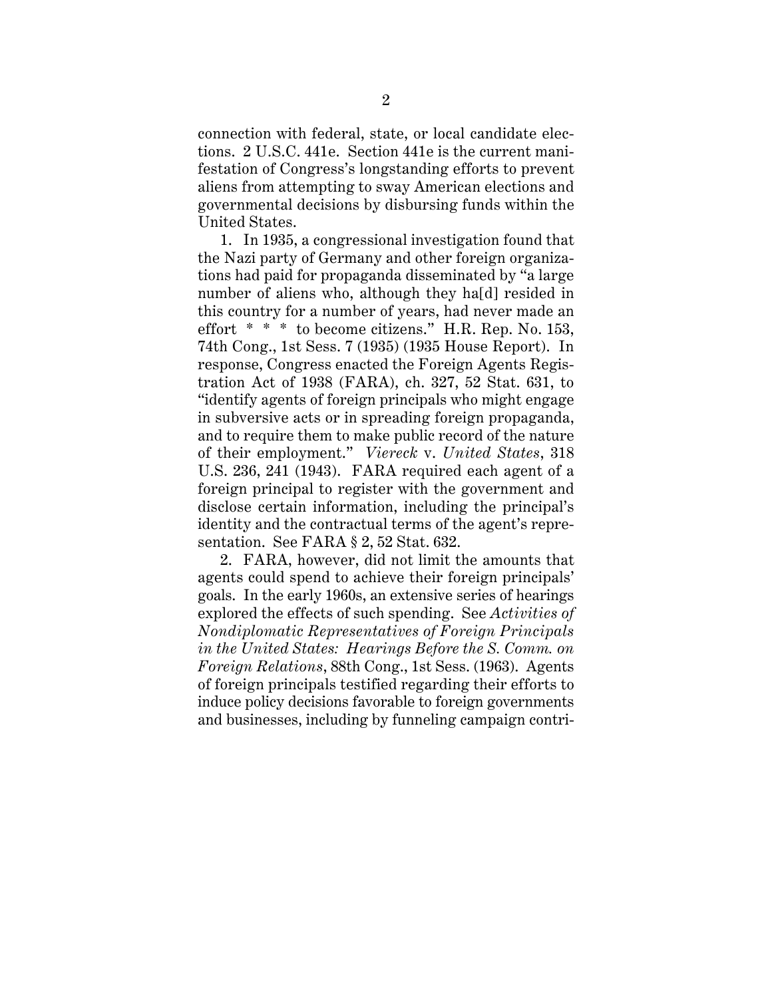connection with federal, state, or local candidate elections. 2 U.S.C. 441e. Section 441e is the current manifestation of Congress's longstanding efforts to prevent aliens from attempting to sway American elections and governmental decisions by disbursing funds within the United States.

1. In 1935, a congressional investigation found that the Nazi party of Germany and other foreign organizations had paid for propaganda disseminated by "a large number of aliens who, although they ha[d] resided in this country for a number of years, had never made an effort \* \* \* to become citizens." H.R. Rep. No. 153, 74th Cong., 1st Sess. 7 (1935) (1935 House Report). In response, Congress enacted the Foreign Agents Registration Act of 1938 (FARA), ch. 327, 52 Stat. 631, to "identify agents of foreign principals who might engage in subversive acts or in spreading foreign propaganda, and to require them to make public record of the nature of their employment." *Viereck* v. *United States*, 318 U.S. 236, 241 (1943). FARA required each agent of a foreign principal to register with the government and disclose certain information, including the principal's identity and the contractual terms of the agent's representation. See FARA § 2, 52 Stat. 632.

2. FARA, however, did not limit the amounts that agents could spend to achieve their foreign principals' goals. In the early 1960s, an extensive series of hearings explored the effects of such spending. See *Activities of Nondiplomatic Representatives of Foreign Principals in the United States: Hearings Before the S. Comm. on Foreign Relations*, 88th Cong., 1st Sess. (1963). Agents of foreign principals testified regarding their efforts to induce policy decisions favorable to foreign governments and businesses, including by funneling campaign contri-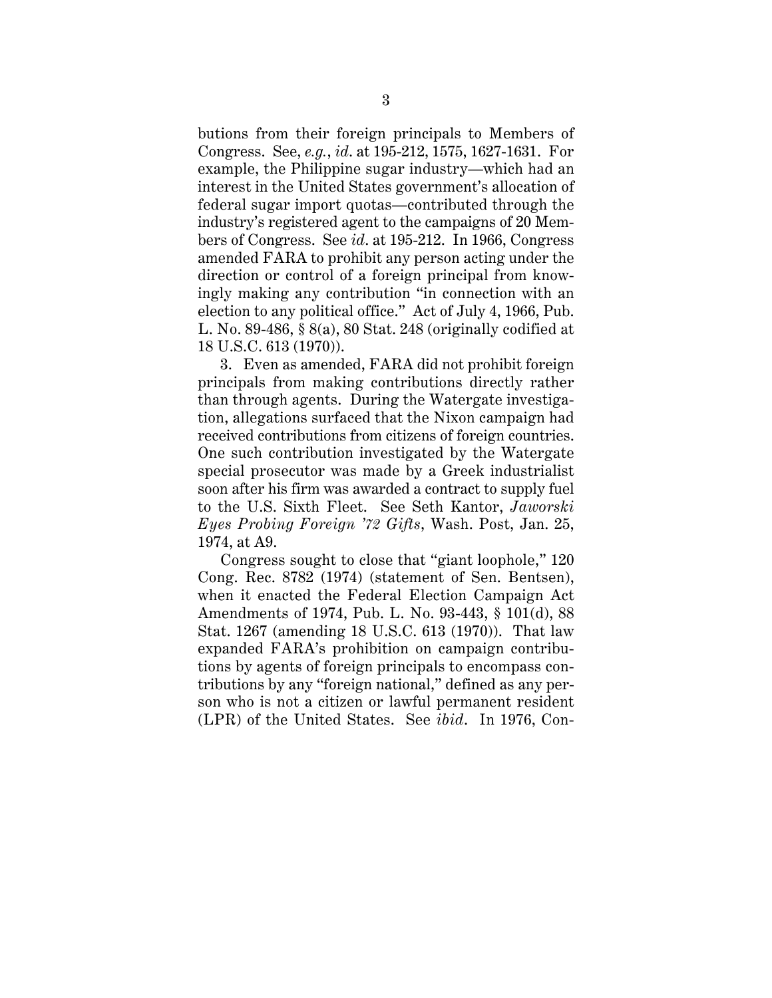butions from their foreign principals to Members of Congress. See, *e.g.*, *id*. at 195-212, 1575, 1627-1631. For example, the Philippine sugar industry—which had an interest in the United States government's allocation of federal sugar import quotas—contributed through the industry's registered agent to the campaigns of 20 Members of Congress. See *id*. at 195-212. In 1966, Congress amended FARA to prohibit any person acting under the direction or control of a foreign principal from knowingly making any contribution "in connection with an election to any political office." Act of July 4, 1966, Pub. L. No. 89-486, § 8(a), 80 Stat. 248 (originally codified at 18 U.S.C. 613 (1970)).

3. Even as amended, FARA did not prohibit foreign principals from making contributions directly rather than through agents. During the Watergate investigation, allegations surfaced that the Nixon campaign had received contributions from citizens of foreign countries. One such contribution investigated by the Watergate special prosecutor was made by a Greek industrialist soon after his firm was awarded a contract to supply fuel to the U.S. Sixth Fleet. See Seth Kantor, *Jaworski Eyes Probing Foreign '72 Gifts*, Wash. Post, Jan. 25, 1974, at A9.

Congress sought to close that "giant loophole," 120 Cong. Rec. 8782 (1974) (statement of Sen. Bentsen), when it enacted the Federal Election Campaign Act Amendments of 1974, Pub. L. No. 93-443, § 101(d), 88 Stat. 1267 (amending 18 U.S.C. 613 (1970)). That law expanded FARA's prohibition on campaign contributions by agents of foreign principals to encompass contributions by any "foreign national," defined as any person who is not a citizen or lawful permanent resident (LPR) of the United States. See *ibid*. In 1976, Con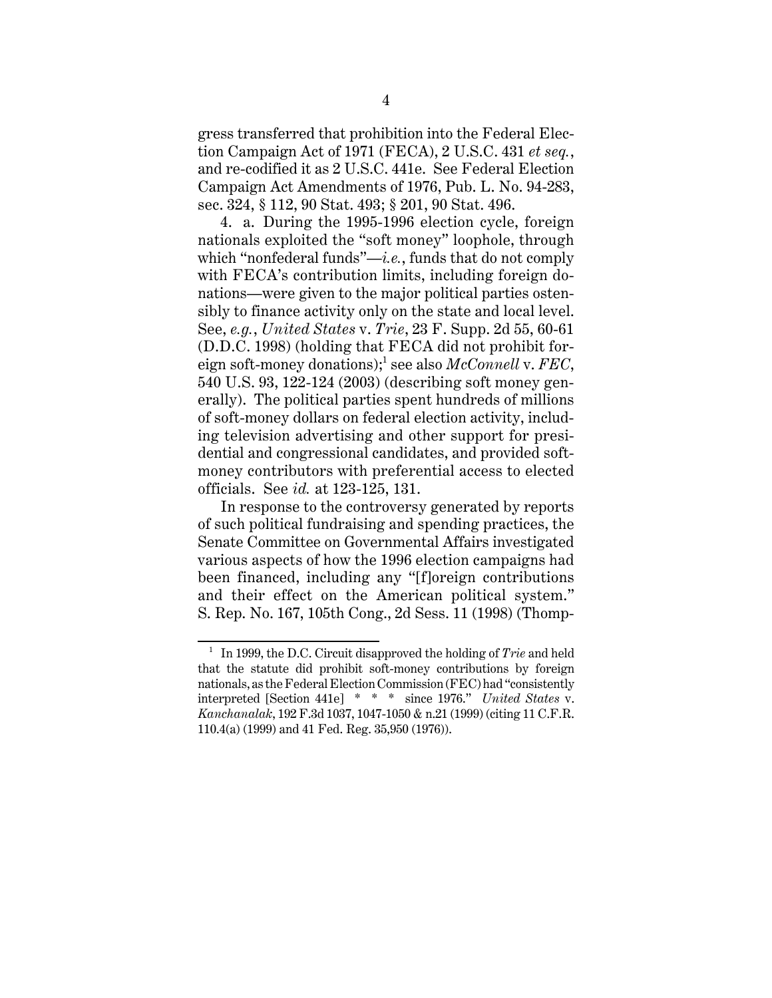gress transferred that prohibition into the Federal Election Campaign Act of 1971 (FECA), 2 U.S.C. 431 *et seq.*, and re-codified it as 2 U.S.C. 441e. See Federal Election Campaign Act Amendments of 1976, Pub. L. No. 94-283, sec. 324, § 112, 90 Stat. 493; § 201, 90 Stat. 496.

4. a. During the 1995-1996 election cycle, foreign nationals exploited the "soft money" loophole, through which "nonfederal funds"—*i.e.*, funds that do not comply with FECA's contribution limits, including foreign donations—were given to the major political parties ostensibly to finance activity only on the state and local level. See, *e.g.*, *United States* v. *Trie*, 23 F. Supp. 2d 55, 60-61 (D.D.C. 1998) (holding that FECA did not prohibit foreign soft-money donations);<sup>1</sup> see also *McConnell* v. FEC, 540 U.S. 93, 122-124 (2003) (describing soft money generally). The political parties spent hundreds of millions of soft-money dollars on federal election activity, including television advertising and other support for presidential and congressional candidates, and provided softmoney contributors with preferential access to elected officials. See *id.* at 123-125, 131.

In response to the controversy generated by reports of such political fundraising and spending practices, the Senate Committee on Governmental Affairs investigated various aspects of how the 1996 election campaigns had been financed, including any "[f]oreign contributions and their effect on the American political system." S. Rep. No. 167, 105th Cong., 2d Sess. 11 (1998) (Thomp-

<sup>1</sup> In 1999, the D.C. Circuit disapproved the holding of *Trie* and held that the statute did prohibit soft-money contributions by foreign nationals, as the Federal Election Commission (FEC) had "consistently interpreted [Section 441e] \* \* \* since 1976." *United States* v. *Kanchanalak*, 192 F.3d 1037, 1047-1050 & n.21 (1999) (citing 11 C.F.R. 110.4(a) (1999) and 41 Fed. Reg. 35,950 (1976)).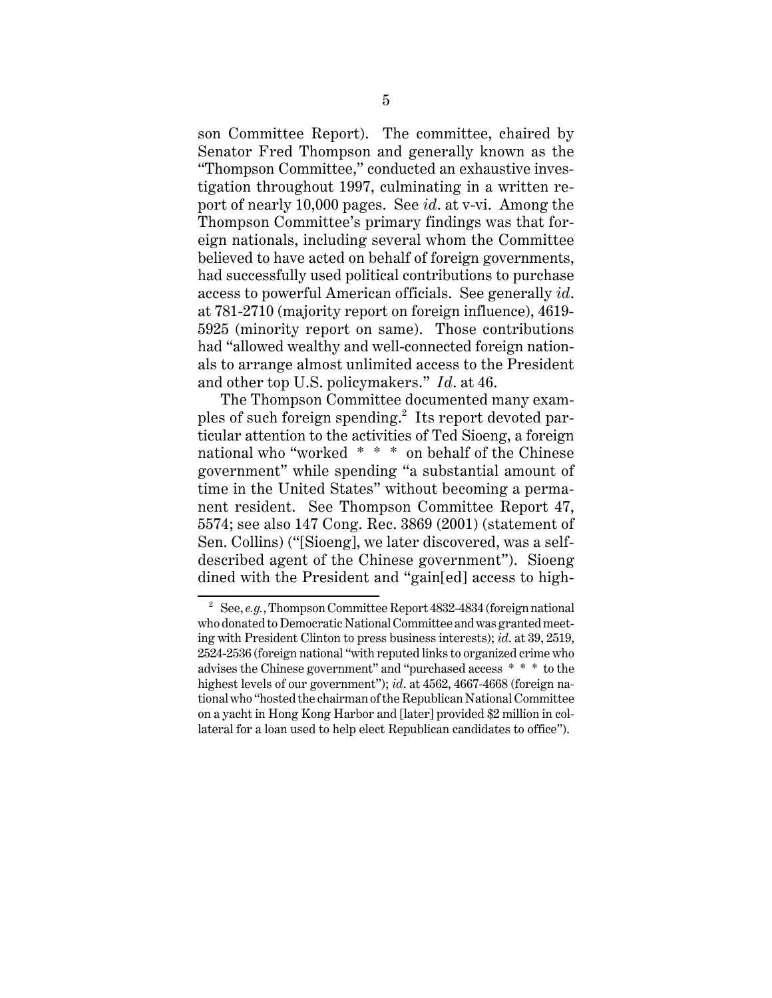son Committee Report). The committee, chaired by Senator Fred Thompson and generally known as the "Thompson Committee," conducted an exhaustive investigation throughout 1997, culminating in a written report of nearly 10,000 pages. See *id*. at v-vi. Among the Thompson Committee's primary findings was that foreign nationals, including several whom the Committee believed to have acted on behalf of foreign governments, had successfully used political contributions to purchase access to powerful American officials. See generally *id*. at 781-2710 (majority report on foreign influence), 4619- 5925 (minority report on same). Those contributions had "allowed wealthy and well-connected foreign nationals to arrange almost unlimited access to the President and other top U.S. policymakers." *Id*. at 46.

The Thompson Committee documented many examples of such foreign spending.<sup>2</sup> Its report devoted particular attention to the activities of Ted Sioeng, a foreign national who "worked \* \* \* on behalf of the Chinese government" while spending "a substantial amount of time in the United States" without becoming a permanent resident. See Thompson Committee Report 47, 5574; see also 147 Cong. Rec. 3869 (2001) (statement of Sen. Collins) ("[Sioeng], we later discovered, was a selfdescribed agent of the Chinese government"). Sioeng dined with the President and "gain[ed] access to high-

<sup>&</sup>lt;sup>2</sup> See, *e.g.*, Thompson Committee Report 4832-4834 (foreign national who donated to Democratic National Committee and was granted meeting with President Clinton to press business interests); *id*. at 39, 2519, 2524-2536 (foreign national "with reputed links to organized crime who advises the Chinese government" and "purchased access \* \* \* to the highest levels of our government"); *id.* at 4562, 4667-4668 (foreign national who "hosted the chairman of the Republican National Committee on a yacht in Hong Kong Harbor and [later] provided \$2 million in collateral for a loan used to help elect Republican candidates to office").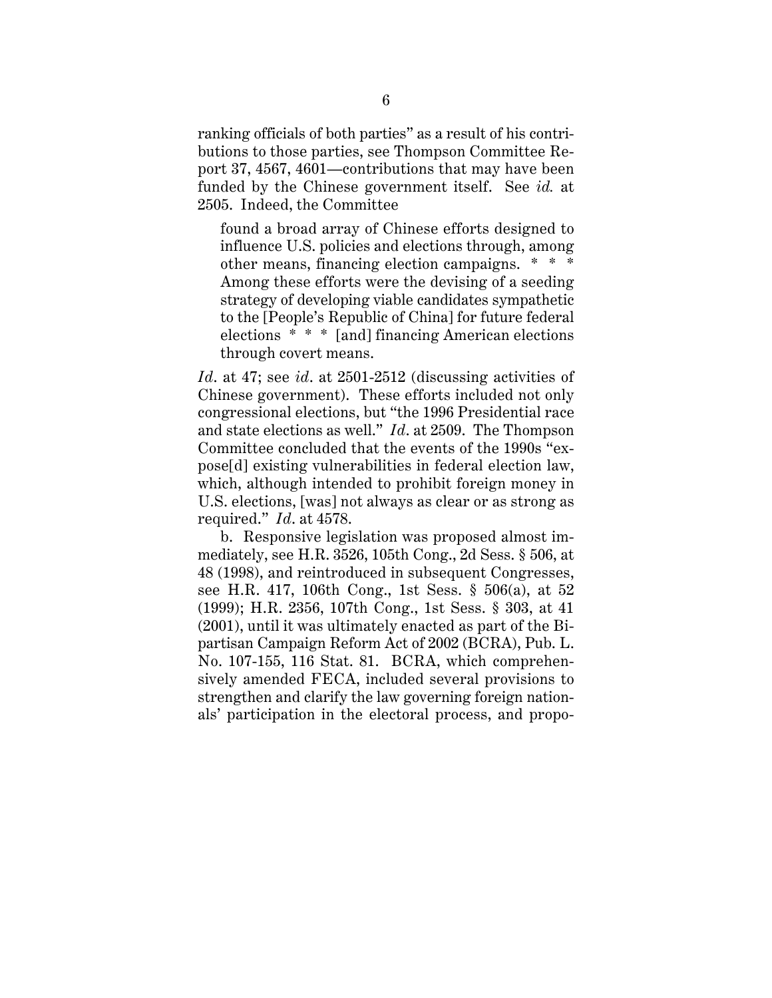ranking officials of both parties" as a result of his contributions to those parties, see Thompson Committee Report 37, 4567, 4601—contributions that may have been funded by the Chinese government itself. See *id.* at 2505. Indeed, the Committee

found a broad array of Chinese efforts designed to influence U.S. policies and elections through, among other means, financing election campaigns. \* \* \* Among these efforts were the devising of a seeding strategy of developing viable candidates sympathetic to the [People's Republic of China] for future federal elections \* \* \* [and] financing American elections through covert means.

*Id*. at 47; see *id*. at 2501-2512 (discussing activities of Chinese government). These efforts included not only congressional elections, but "the 1996 Presidential race and state elections as well." *Id*. at 2509. The Thompson Committee concluded that the events of the 1990s "expose[d] existing vulnerabilities in federal election law, which, although intended to prohibit foreign money in U.S. elections, [was] not always as clear or as strong as required." *Id*. at 4578.

b. Responsive legislation was proposed almost immediately, see H.R. 3526, 105th Cong., 2d Sess. § 506, at 48 (1998), and reintroduced in subsequent Congresses, see H.R. 417, 106th Cong., 1st Sess. § 506(a), at 52 (1999); H.R. 2356, 107th Cong., 1st Sess. § 303, at 41 (2001), until it was ultimately enacted as part of the Bipartisan Campaign Reform Act of 2002 (BCRA), Pub. L. No. 107-155, 116 Stat. 81. BCRA, which comprehensively amended FECA, included several provisions to strengthen and clarify the law governing foreign nationals' participation in the electoral process, and propo-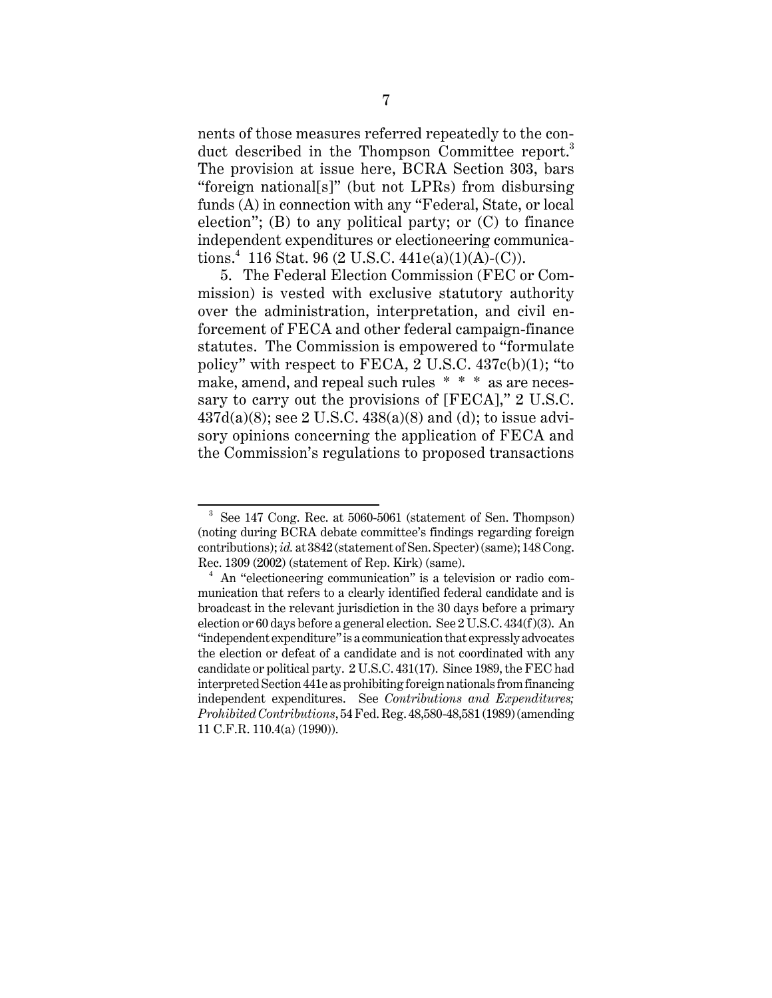nents of those measures referred repeatedly to the conduct described in the Thompson Committee report.<sup>3</sup> The provision at issue here, BCRA Section 303, bars "foreign national[s]" (but not LPRs) from disbursing funds (A) in connection with any "Federal, State, or local election"; (B) to any political party; or (C) to finance independent expenditures or electioneering communications.<sup>4</sup> 116 Stat. 96 (2 U.S.C. 441e(a)(1)(A)-(C)).

5. The Federal Election Commission (FEC or Commission) is vested with exclusive statutory authority over the administration, interpretation, and civil enforcement of FECA and other federal campaign-finance statutes. The Commission is empowered to "formulate policy" with respect to FECA, 2 U.S.C. 437c(b)(1); "to make, amend, and repeal such rules \* \* \* as are necessary to carry out the provisions of [FECA]," 2 U.S.C.  $437d(a)(8)$ ; see 2 U.S.C.  $438(a)(8)$  and (d); to issue advisory opinions concerning the application of FECA and the Commission's regulations to proposed transactions

<sup>3</sup> See 147 Cong. Rec. at 5060-5061 (statement of Sen. Thompson) (noting during BCRA debate committee's findings regarding foreign contributions); *id.* at 3842 (statement of Sen. Specter) (same); 148 Cong. Rec. 1309 (2002) (statement of Rep. Kirk) (same).<br><sup>4</sup> An "electioneering communication" is a television or radio com-

munication that refers to a clearly identified federal candidate and is broadcast in the relevant jurisdiction in the 30 days before a primary election or 60 days before a general election. See 2 U.S.C. 434(f)(3). An "independent expenditure" is a communication that expressly advocates the election or defeat of a candidate and is not coordinated with any candidate or political party. 2 U.S.C. 431(17). Since 1989, the FEC had interpreted Section 441e as prohibiting foreign nationals from financing independent expenditures. See *Contributions and Expenditures; Prohibited Contributions*, 54 Fed. Reg. 48,580-48,581 (1989) (amending 11 C.F.R. 110.4(a) (1990)).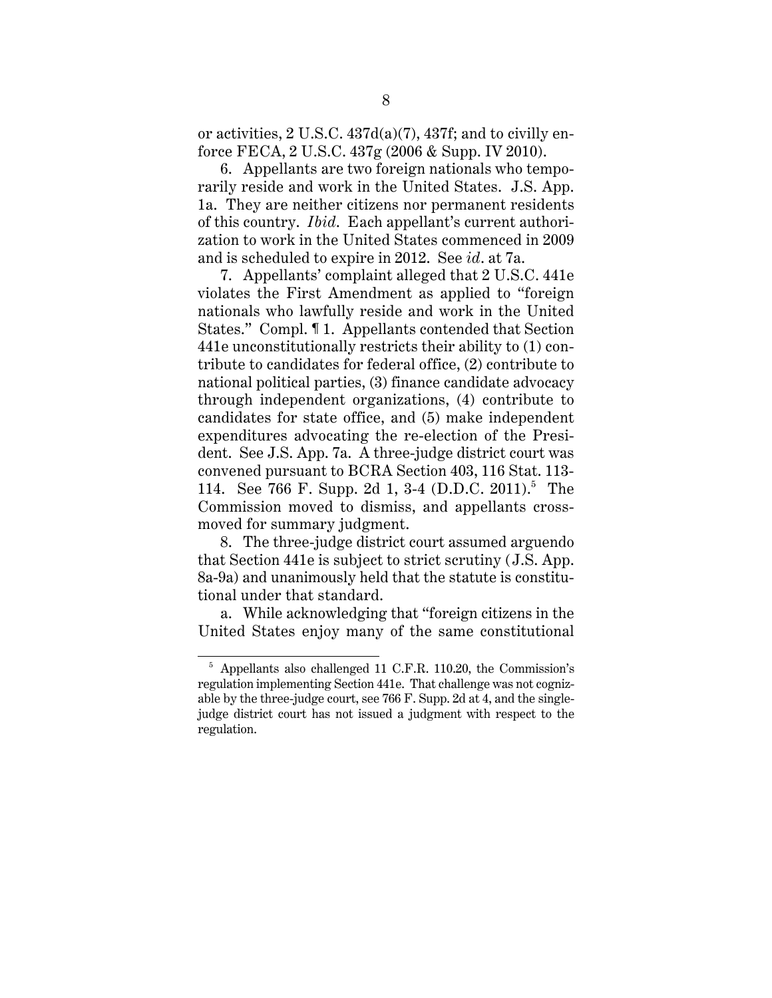or activities, 2 U.S.C. 437d(a)(7), 437f; and to civilly enforce FECA, 2 U.S.C. 437g (2006 & Supp. IV 2010).

6. Appellants are two foreign nationals who temporarily reside and work in the United States. J.S. App. 1a. They are neither citizens nor permanent residents of this country. *Ibid*. Each appellant's current authorization to work in the United States commenced in 2009 and is scheduled to expire in 2012. See *id*. at 7a.

7. Appellants' complaint alleged that 2 U.S.C. 441e violates the First Amendment as applied to "foreign nationals who lawfully reside and work in the United States." Compl. ¶ 1. Appellants contended that Section 441e unconstitutionally restricts their ability to (1) contribute to candidates for federal office, (2) contribute to national political parties, (3) finance candidate advocacy through independent organizations, (4) contribute to candidates for state office, and (5) make independent expenditures advocating the re-election of the President. See J.S. App. 7a. A three-judge district court was convened pursuant to BCRA Section 403, 116 Stat. 113- 114. See 766 F. Supp. 2d 1, 3-4 (D.D.C. 2011).<sup>5</sup> The Commission moved to dismiss, and appellants crossmoved for summary judgment.

8. The three-judge district court assumed arguendo that Section 441e is subject to strict scrutiny (J.S. App. 8a-9a) and unanimously held that the statute is constitutional under that standard.

a. While acknowledging that "foreign citizens in the United States enjoy many of the same constitutional

<sup>5</sup> Appellants also challenged 11 C.F.R. 110.20, the Commission's regulation implementing Section 441e. That challenge was not cognizable by the three-judge court, see 766 F. Supp. 2d at 4, and the singlejudge district court has not issued a judgment with respect to the regulation.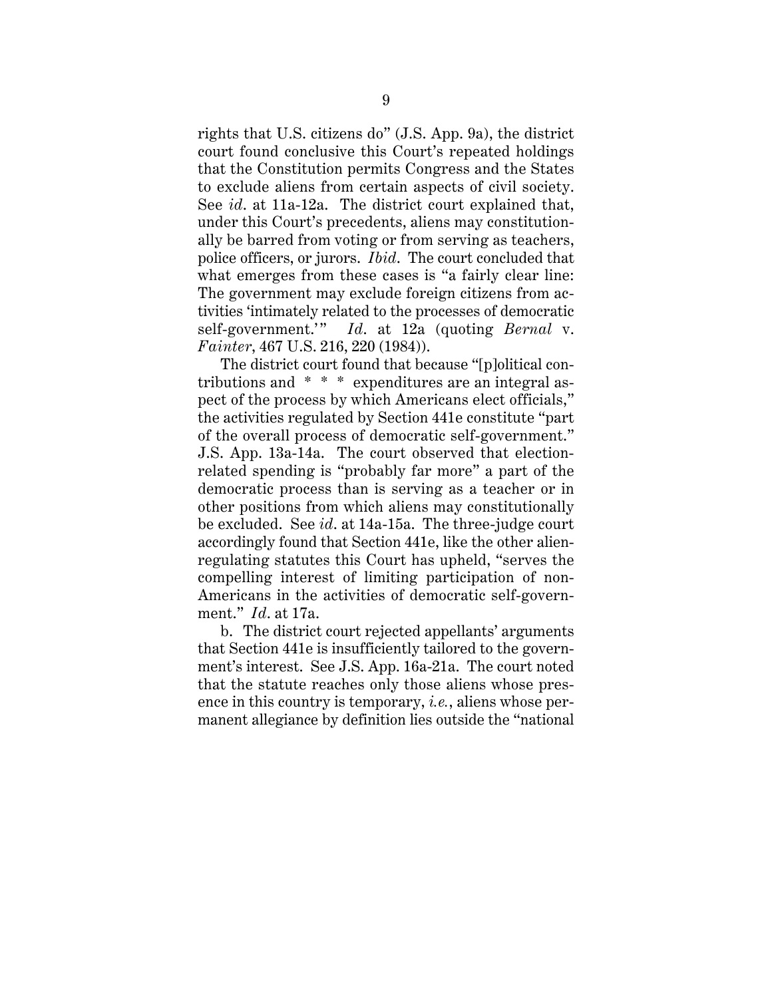rights that U.S. citizens do" (J.S. App. 9a), the district court found conclusive this Court's repeated holdings that the Constitution permits Congress and the States to exclude aliens from certain aspects of civil society. See *id*. at 11a-12a. The district court explained that, under this Court's precedents, aliens may constitutionally be barred from voting or from serving as teachers, police officers, or jurors. *Ibid*. The court concluded that what emerges from these cases is "a fairly clear line: The government may exclude foreign citizens from activities 'intimately related to the processes of democratic self-government.'" *Id*. at 12a (quoting *Bernal* v. *Fainter*, 467 U.S. 216, 220 (1984)).

The district court found that because "[p]olitical contributions and \* \* \* expenditures are an integral aspect of the process by which Americans elect officials," the activities regulated by Section 441e constitute "part of the overall process of democratic self-government." J.S. App. 13a-14a. The court observed that electionrelated spending is "probably far more" a part of the democratic process than is serving as a teacher or in other positions from which aliens may constitutionally be excluded. See *id*. at 14a-15a. The three-judge court accordingly found that Section 441e, like the other alienregulating statutes this Court has upheld, "serves the compelling interest of limiting participation of non-Americans in the activities of democratic self-government." *Id*. at 17a.

b. The district court rejected appellants' arguments that Section 441e is insufficiently tailored to the government's interest. See J.S. App. 16a-21a. The court noted that the statute reaches only those aliens whose presence in this country is temporary, *i.e.*, aliens whose permanent allegiance by definition lies outside the "national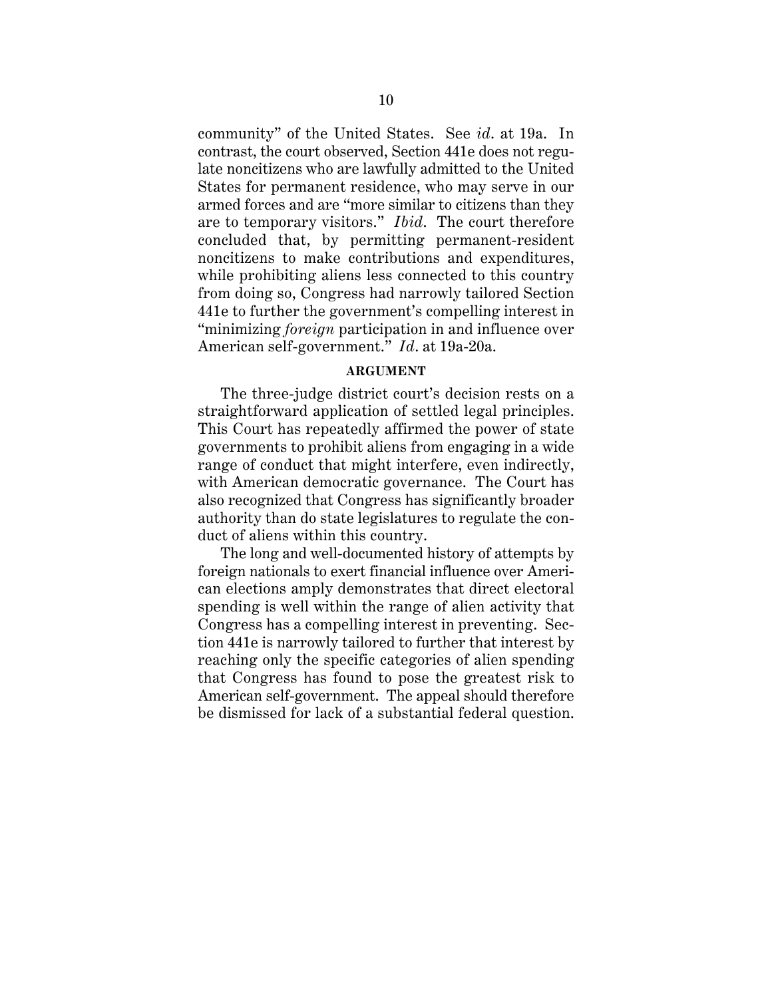community" of the United States. See *id*. at 19a. In contrast, the court observed, Section 441e does not regulate noncitizens who are lawfully admitted to the United States for permanent residence, who may serve in our armed forces and are "more similar to citizens than they are to temporary visitors." *Ibid*. The court therefore concluded that, by permitting permanent-resident noncitizens to make contributions and expenditures, while prohibiting aliens less connected to this country from doing so, Congress had narrowly tailored Section 441e to further the government's compelling interest in "minimizing *foreign* participation in and influence over American self-government." *Id*. at 19a-20a.

### **ARGUMENT**

The three-judge district court's decision rests on a straightforward application of settled legal principles. This Court has repeatedly affirmed the power of state governments to prohibit aliens from engaging in a wide range of conduct that might interfere, even indirectly, with American democratic governance. The Court has also recognized that Congress has significantly broader authority than do state legislatures to regulate the conduct of aliens within this country.

The long and well-documented history of attempts by foreign nationals to exert financial influence over American elections amply demonstrates that direct electoral spending is well within the range of alien activity that Congress has a compelling interest in preventing. Section 441e is narrowly tailored to further that interest by reaching only the specific categories of alien spending that Congress has found to pose the greatest risk to American self-government. The appeal should therefore be dismissed for lack of a substantial federal question.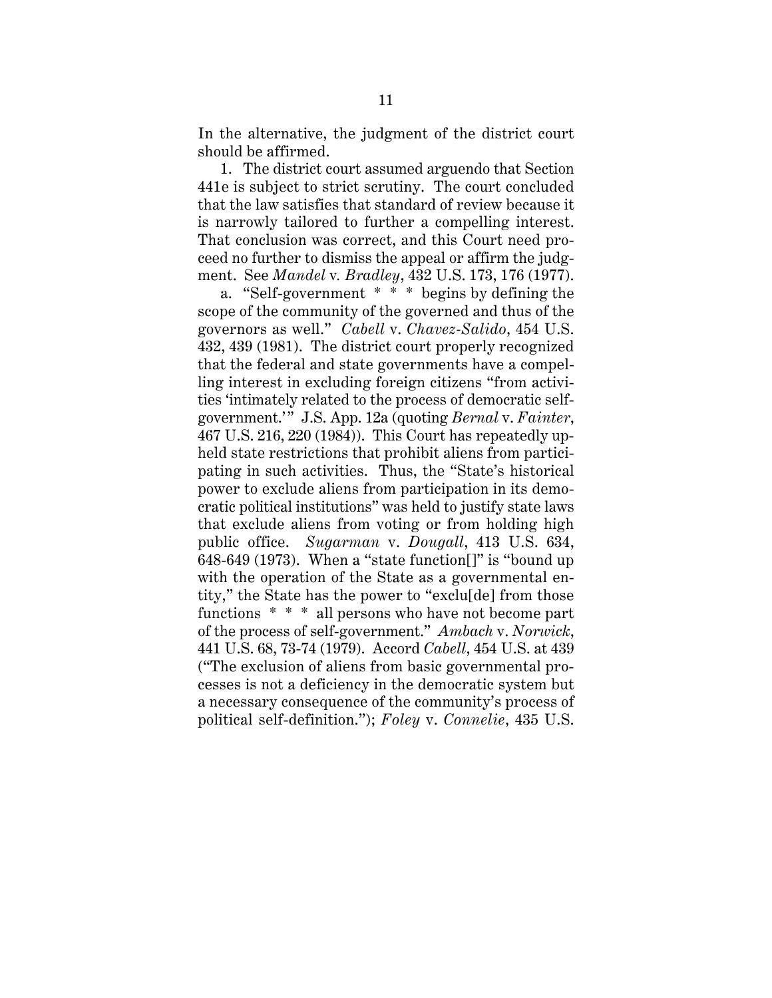In the alternative, the judgment of the district court should be affirmed.

1. The district court assumed arguendo that Section 441e is subject to strict scrutiny. The court concluded that the law satisfies that standard of review because it is narrowly tailored to further a compelling interest. That conclusion was correct, and this Court need proceed no further to dismiss the appeal or affirm the judgment. See *Mandel* v*. Bradley*, 432 U.S. 173, 176 (1977).

a. "Self-government \* \* \* begins by defining the scope of the community of the governed and thus of the governors as well." *Cabell* v. *Chavez-Salido*, 454 U.S. 432, 439 (1981). The district court properly recognized that the federal and state governments have a compelling interest in excluding foreign citizens "from activities 'intimately related to the process of democratic selfgovernment.'" J.S. App. 12a (quoting *Bernal* v. *Fainter*, 467 U.S. 216, 220 (1984)). This Court has repeatedly upheld state restrictions that prohibit aliens from participating in such activities. Thus, the "State's historical power to exclude aliens from participation in its democratic political institutions" was held to justify state laws that exclude aliens from voting or from holding high public office. *Sugarman* v. *Dougall*, 413 U.S. 634, 648-649 (1973). When a "state function[]" is "bound up with the operation of the State as a governmental entity," the State has the power to "exclu[de] from those functions \* \* \* all persons who have not become part of the process of self-government." *Ambach* v. *Norwick*, 441 U.S. 68, 73-74 (1979). Accord *Cabell*, 454 U.S. at 439 ("The exclusion of aliens from basic governmental processes is not a deficiency in the democratic system but a necessary consequence of the community's process of political self-definition."); *Foley* v. *Connelie*, 435 U.S.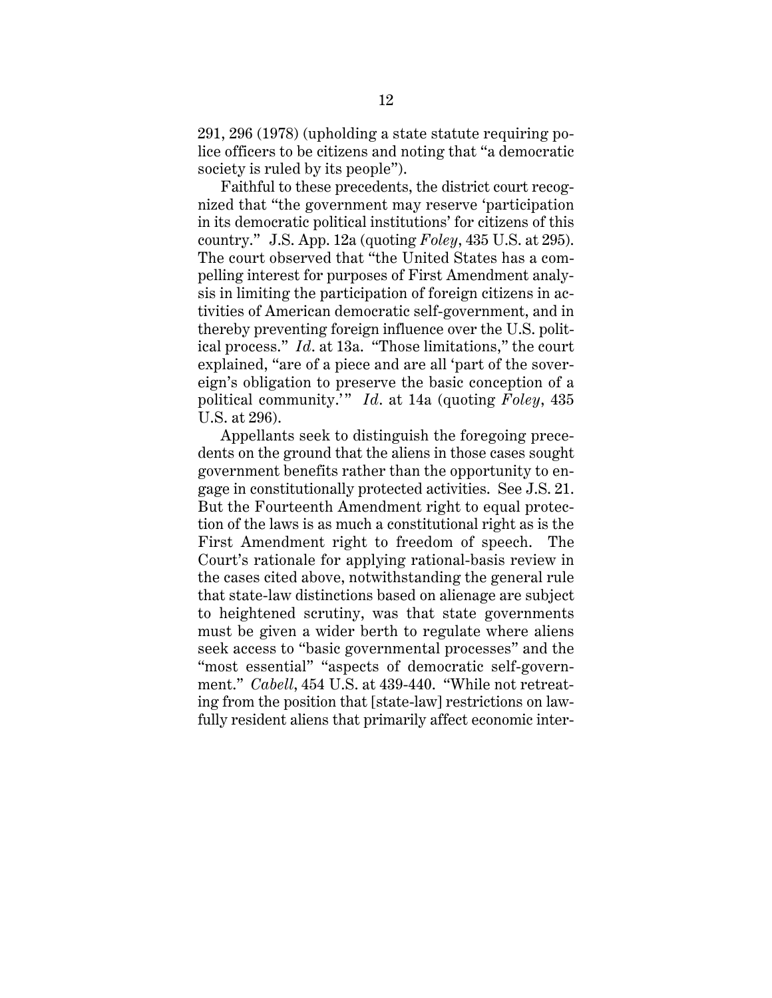291, 296 (1978) (upholding a state statute requiring police officers to be citizens and noting that "a democratic society is ruled by its people").

Faithful to these precedents, the district court recognized that "the government may reserve 'participation in its democratic political institutions' for citizens of this country." J.S. App. 12a (quoting *Foley*, 435 U.S. at 295). The court observed that "the United States has a compelling interest for purposes of First Amendment analysis in limiting the participation of foreign citizens in activities of American democratic self-government, and in thereby preventing foreign influence over the U.S. political process." *Id*. at 13a. "Those limitations," the court explained, "are of a piece and are all 'part of the sovereign's obligation to preserve the basic conception of a political community.'" *Id*. at 14a (quoting *Foley*, 435 U.S. at 296).

Appellants seek to distinguish the foregoing precedents on the ground that the aliens in those cases sought government benefits rather than the opportunity to engage in constitutionally protected activities. See J.S. 21. But the Fourteenth Amendment right to equal protection of the laws is as much a constitutional right as is the First Amendment right to freedom of speech. The Court's rationale for applying rational-basis review in the cases cited above, notwithstanding the general rule that state-law distinctions based on alienage are subject to heightened scrutiny, was that state governments must be given a wider berth to regulate where aliens seek access to "basic governmental processes" and the "most essential" "aspects of democratic self-government." *Cabell*, 454 U.S. at 439-440. "While not retreating from the position that [state-law] restrictions on lawfully resident aliens that primarily affect economic inter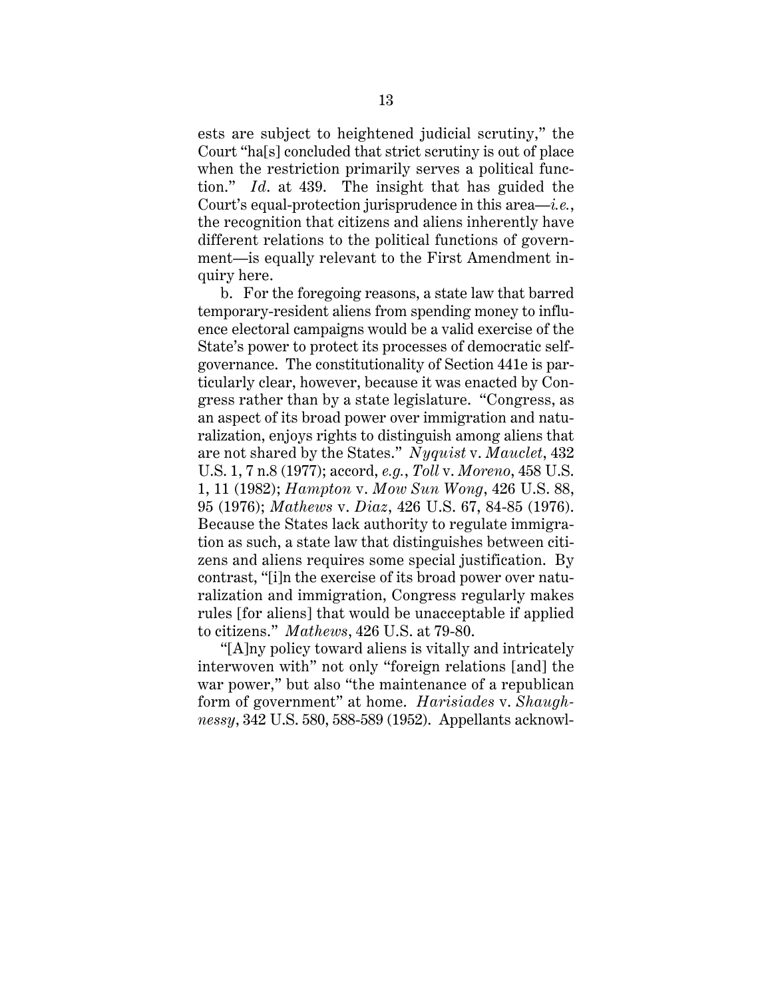ests are subject to heightened judicial scrutiny," the Court "ha[s] concluded that strict scrutiny is out of place when the restriction primarily serves a political function." *Id*. at 439. The insight that has guided the Court's equal-protection jurisprudence in this area—*i.e.*, the recognition that citizens and aliens inherently have different relations to the political functions of government—is equally relevant to the First Amendment inquiry here.

b. For the foregoing reasons, a state law that barred temporary-resident aliens from spending money to influence electoral campaigns would be a valid exercise of the State's power to protect its processes of democratic selfgovernance. The constitutionality of Section 441e is particularly clear, however, because it was enacted by Congress rather than by a state legislature. "Congress, as an aspect of its broad power over immigration and naturalization, enjoys rights to distinguish among aliens that are not shared by the States." *Nyquist* v. *Mauclet*, 432 U.S. 1, 7 n.8 (1977); accord, *e.g.*, *Toll* v. *Moreno*, 458 U.S. 1, 11 (1982); *Hampton* v. *Mow Sun Wong*, 426 U.S. 88, 95 (1976); *Mathews* v. *Diaz*, 426 U.S. 67, 84-85 (1976). Because the States lack authority to regulate immigration as such, a state law that distinguishes between citizens and aliens requires some special justification. By contrast, "[i]n the exercise of its broad power over naturalization and immigration, Congress regularly makes rules [for aliens] that would be unacceptable if applied to citizens." *Mathews*, 426 U.S. at 79-80.

"[A]ny policy toward aliens is vitally and intricately interwoven with" not only "foreign relations [and] the war power," but also "the maintenance of a republican form of government" at home. *Harisiades* v. *Shaughnessy*, 342 U.S. 580, 588-589 (1952). Appellants acknowl-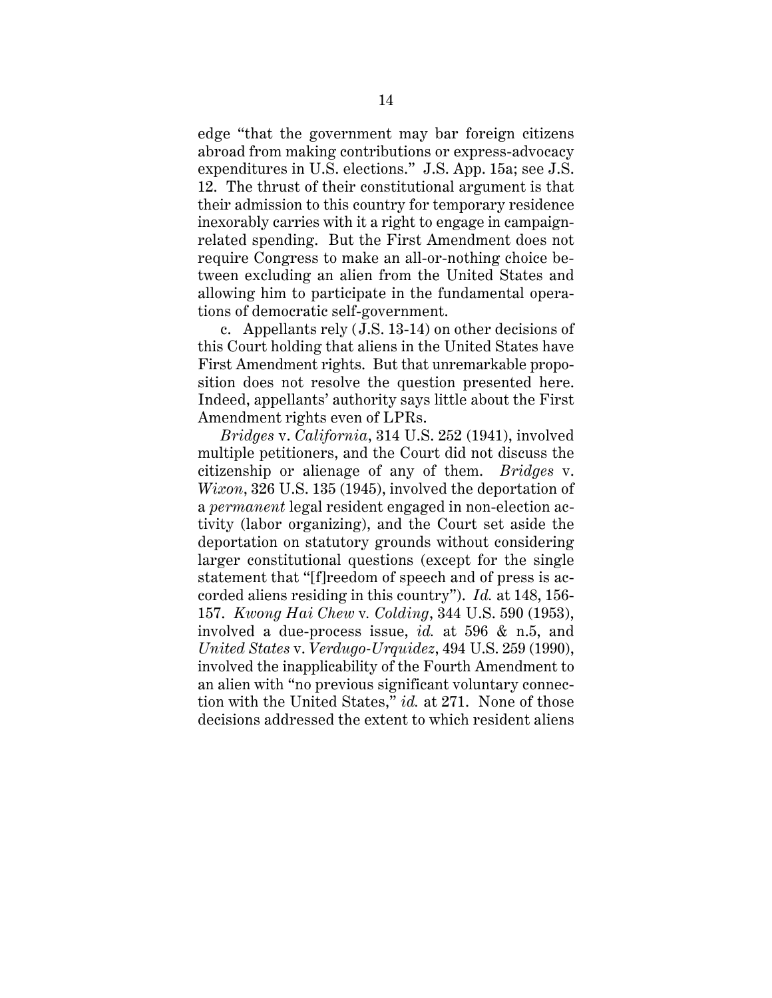edge "that the government may bar foreign citizens abroad from making contributions or express-advocacy expenditures in U.S. elections." J.S. App. 15a; see J.S. 12. The thrust of their constitutional argument is that their admission to this country for temporary residence inexorably carries with it a right to engage in campaignrelated spending. But the First Amendment does not require Congress to make an all-or-nothing choice between excluding an alien from the United States and allowing him to participate in the fundamental operations of democratic self-government.

c. Appellants rely (J.S. 13-14) on other decisions of this Court holding that aliens in the United States have First Amendment rights. But that unremarkable proposition does not resolve the question presented here. Indeed, appellants' authority says little about the First Amendment rights even of LPRs.

*Bridges* v. *California*, 314 U.S. 252 (1941), involved multiple petitioners, and the Court did not discuss the citizenship or alienage of any of them. *Bridges* v. *Wixon*, 326 U.S. 135 (1945), involved the deportation of a *permanent* legal resident engaged in non-election activity (labor organizing), and the Court set aside the deportation on statutory grounds without considering larger constitutional questions (except for the single statement that "[f]reedom of speech and of press is accorded aliens residing in this country"). *Id.* at 148, 156- 157. *Kwong Hai Chew* v*. Colding*, 344 U.S. 590 (1953), involved a due-process issue, *id.* at 596 & n.5, and *United States* v. *Verdugo-Urquidez*, 494 U.S. 259 (1990), involved the inapplicability of the Fourth Amendment to an alien with "no previous significant voluntary connection with the United States," *id.* at 271. None of those decisions addressed the extent to which resident aliens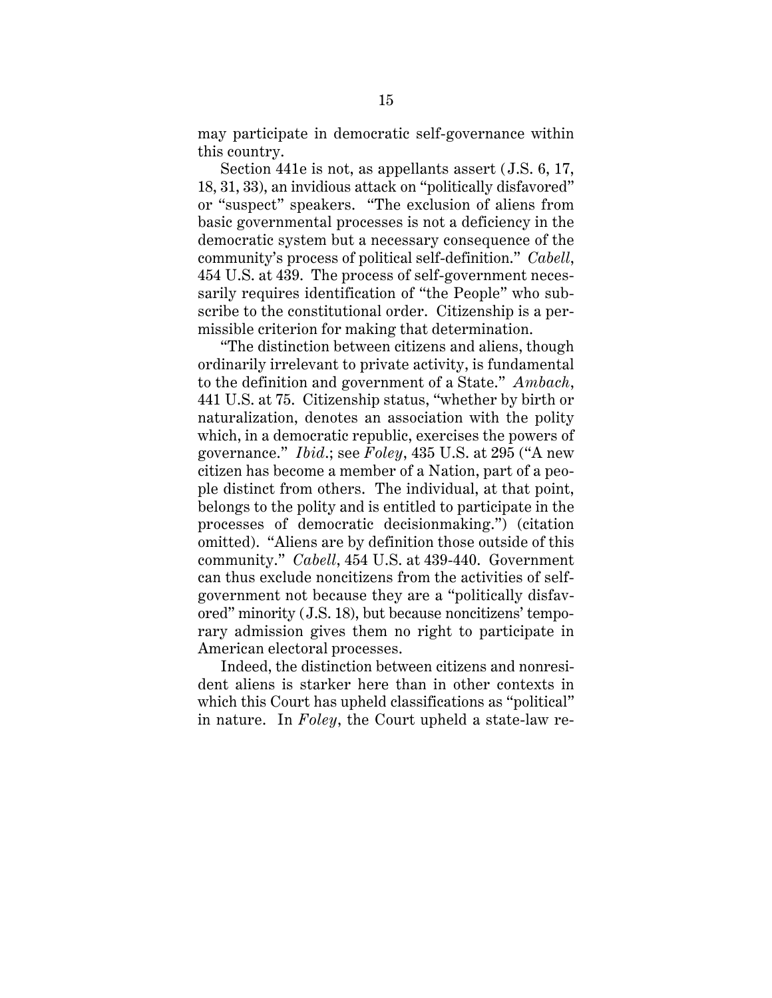may participate in democratic self-governance within this country.

Section 441e is not, as appellants assert (J.S. 6, 17, 18, 31, 33), an invidious attack on "politically disfavored" or "suspect" speakers. "The exclusion of aliens from basic governmental processes is not a deficiency in the democratic system but a necessary consequence of the community's process of political self-definition." *Cabell*, 454 U.S. at 439. The process of self-government necessarily requires identification of "the People" who subscribe to the constitutional order. Citizenship is a permissible criterion for making that determination.

"The distinction between citizens and aliens, though ordinarily irrelevant to private activity, is fundamental to the definition and government of a State." *Ambach*, 441 U.S. at 75.Citizenship status, "whether by birth or naturalization, denotes an association with the polity which, in a democratic republic, exercises the powers of governance." *Ibid*.; see *Foley*, 435 U.S. at 295 ("A new citizen has become a member of a Nation, part of a people distinct from others. The individual, at that point, belongs to the polity and is entitled to participate in the processes of democratic decisionmaking.") (citation omitted). "Aliens are by definition those outside of this community." *Cabell*, 454 U.S. at 439-440. Government can thus exclude noncitizens from the activities of selfgovernment not because they are a "politically disfavored" minority (J.S. 18), but because noncitizens' temporary admission gives them no right to participate in American electoral processes.

Indeed, the distinction between citizens and nonresident aliens is starker here than in other contexts in which this Court has upheld classifications as "political" in nature. In *Foley*, the Court upheld a state-law re-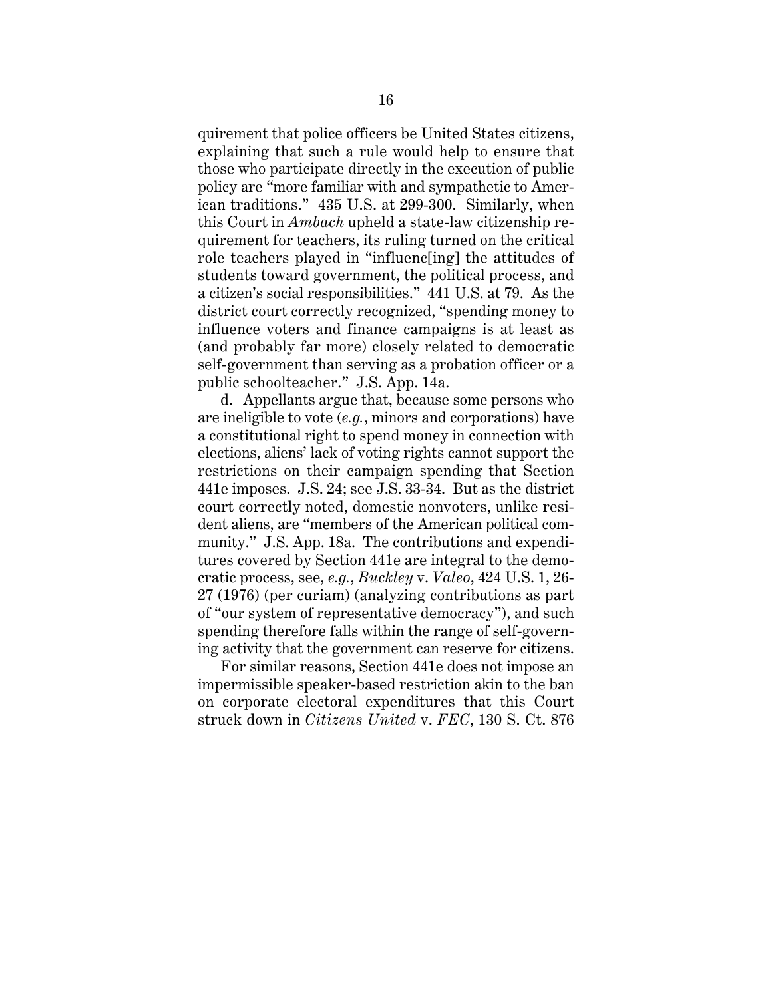quirement that police officers be United States citizens, explaining that such a rule would help to ensure that those who participate directly in the execution of public policy are "more familiar with and sympathetic to American traditions." 435 U.S. at 299-300. Similarly, when this Court in *Ambach* upheld a state-law citizenship requirement for teachers, its ruling turned on the critical role teachers played in "influenc[ing] the attitudes of students toward government, the political process, and a citizen's social responsibilities." 441 U.S. at 79. As the district court correctly recognized, "spending money to influence voters and finance campaigns is at least as (and probably far more) closely related to democratic self-government than serving as a probation officer or a public schoolteacher." J.S. App. 14a.

d. Appellants argue that, because some persons who are ineligible to vote (*e.g.*, minors and corporations) have a constitutional right to spend money in connection with elections, aliens' lack of voting rights cannot support the restrictions on their campaign spending that Section 441e imposes. J.S. 24; see J.S. 33-34. But as the district court correctly noted, domestic nonvoters, unlike resident aliens, are "members of the American political community." J.S. App. 18a. The contributions and expenditures covered by Section 441e are integral to the democratic process, see, *e.g.*, *Buckley* v. *Valeo*, 424 U.S. 1, 26- 27 (1976) (per curiam) (analyzing contributions as part of "our system of representative democracy"), and such spending therefore falls within the range of self-governing activity that the government can reserve for citizens.

For similar reasons, Section 441e does not impose an impermissible speaker-based restriction akin to the ban on corporate electoral expenditures that this Court struck down in *Citizens United* v. *FEC*, 130 S. Ct. 876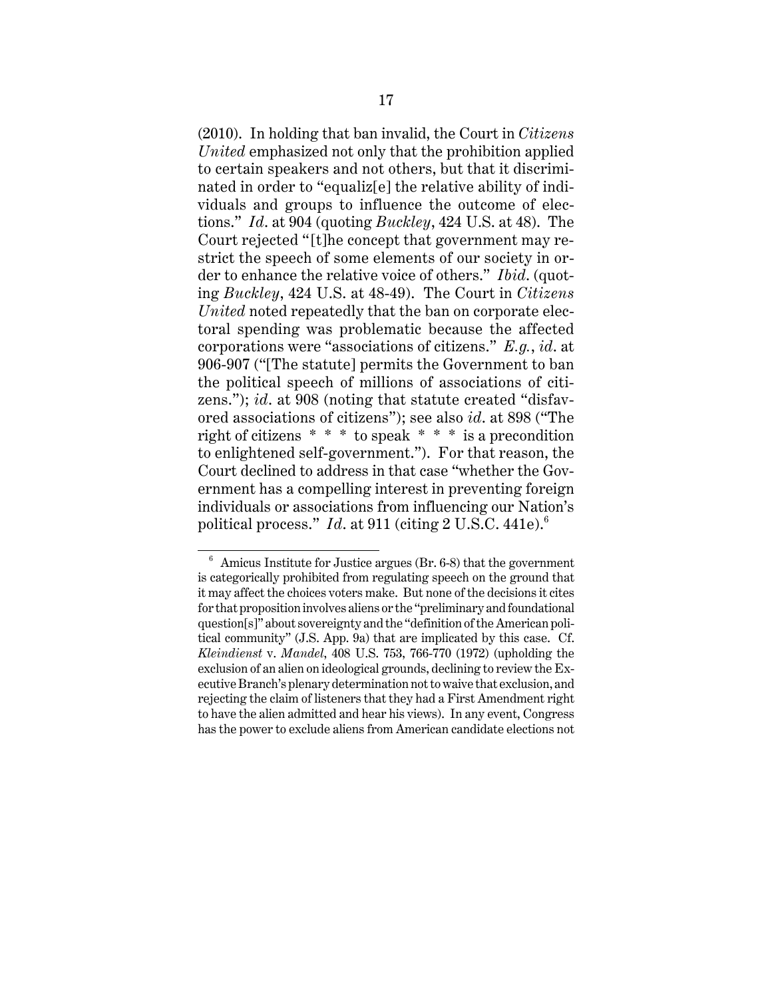(2010). In holding that ban invalid, the Court in *Citizens United* emphasized not only that the prohibition applied to certain speakers and not others, but that it discriminated in order to "equaliz[e] the relative ability of individuals and groups to influence the outcome of elections." *Id*. at 904 (quoting *Buckley*, 424 U.S. at 48). The Court rejected "[t]he concept that government may restrict the speech of some elements of our society in order to enhance the relative voice of others." *Ibid*. (quoting *Buckley*, 424 U.S. at 48-49). The Court in *Citizens United* noted repeatedly that the ban on corporate electoral spending was problematic because the affected corporations were "associations of citizens." *E.g.*, *id*. at 906-907 ("[The statute] permits the Government to ban the political speech of millions of associations of citizens."); *id*. at 908 (noting that statute created "disfavored associations of citizens"); see also *id*. at 898 ("The right of citizens \* \* \* to speak \* \* \* is a precondition to enlightened self-government."). For that reason, the Court declined to address in that case "whether the Government has a compelling interest in preventing foreign individuals or associations from influencing our Nation's political process." *Id.* at 911 (citing 2 U.S.C. 441e).<sup>6</sup>

 $6$  Amicus Institute for Justice argues (Br. 6-8) that the government is categorically prohibited from regulating speech on the ground that it may affect the choices voters make. But none of the decisions it cites for that proposition involves aliens or the "preliminary and foundational question[s]" about sovereignty and the "definition of the American political community" (J.S. App. 9a) that are implicated by this case. Cf. *Kleindienst* v. *Mandel*, 408 U.S. 753, 766-770 (1972) (upholding the exclusion of an alien on ideological grounds, declining to review the Executive Branch's plenary determination not to waive that exclusion, and rejecting the claim of listeners that they had a First Amendment right to have the alien admitted and hear his views). In any event, Congress has the power to exclude aliens from American candidate elections not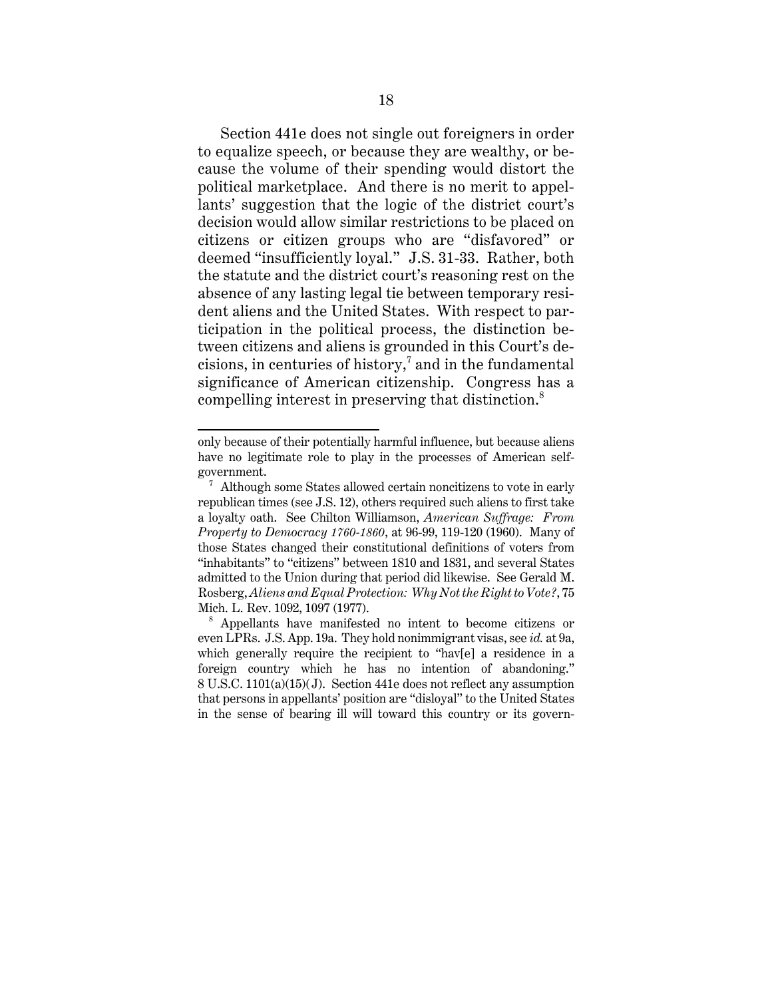Section 441e does not single out foreigners in order to equalize speech, or because they are wealthy, or because the volume of their spending would distort the political marketplace. And there is no merit to appellants' suggestion that the logic of the district court's decision would allow similar restrictions to be placed on citizens or citizen groups who are "disfavored" or deemed "insufficiently loyal." J.S. 31-33. Rather, both the statute and the district court's reasoning rest on the absence of any lasting legal tie between temporary resident aliens and the United States. With respect to participation in the political process, the distinction between citizens and aliens is grounded in this Court's decisions, in centuries of history, $^7$  and in the fundamental significance of American citizenship. Congress has a compelling interest in preserving that distinction.<sup>8</sup>

only because of their potentially harmful influence, but because aliens have no legitimate role to play in the processes of American selfgovernment.

 $7$  Although some States allowed certain noncitizens to vote in early republican times (see J.S. 12), others required such aliens to first take a loyalty oath. See Chilton Williamson, *American Suffrage: From Property to Democracy 1760-1860*, at 96-99, 119-120 (1960). Many of those States changed their constitutional definitions of voters from "inhabitants" to "citizens" between 1810 and 1831, and several States admitted to the Union during that period did likewise. See Gerald M. Rosberg, *Aliens and Equal Protection: Why Not the Right to Vote?*, 75 Mich. L. Rev. 1092, 1097 (1977).

<sup>8</sup> Appellants have manifested no intent to become citizens or even LPRs. J.S. App. 19a. They hold nonimmigrant visas, see *id.* at 9a, which generally require the recipient to "hav[e] a residence in a foreign country which he has no intention of abandoning." 8 U.S.C. 1101(a)(15)(J). Section 441e does not reflect any assumption that persons in appellants' position are "disloyal" to the United States in the sense of bearing ill will toward this country or its govern-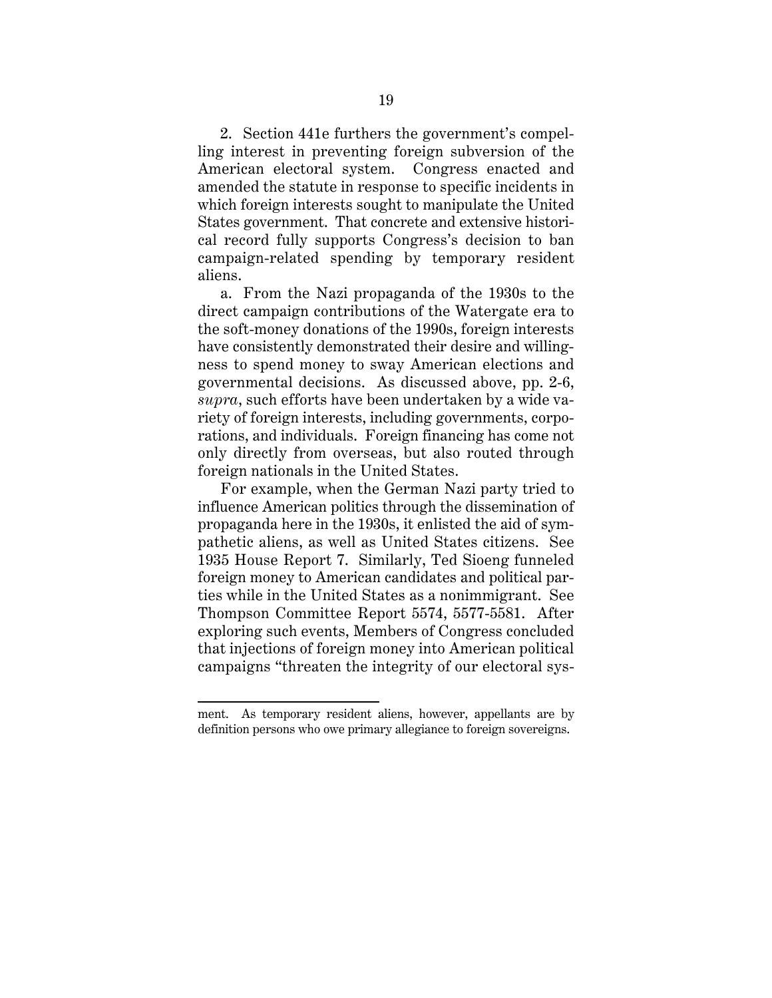2. Section 441e furthers the government's compelling interest in preventing foreign subversion of the American electoral system. Congress enacted and amended the statute in response to specific incidents in which foreign interests sought to manipulate the United States government. That concrete and extensive historical record fully supports Congress's decision to ban campaign-related spending by temporary resident aliens.

a. From the Nazi propaganda of the 1930s to the direct campaign contributions of the Watergate era to the soft-money donations of the 1990s, foreign interests have consistently demonstrated their desire and willingness to spend money to sway American elections and governmental decisions. As discussed above, pp. 2-6, *supra*, such efforts have been undertaken by a wide variety of foreign interests, including governments, corporations, and individuals. Foreign financing has come not only directly from overseas, but also routed through foreign nationals in the United States.

For example, when the German Nazi party tried to influence American politics through the dissemination of propaganda here in the 1930s, it enlisted the aid of sympathetic aliens, as well as United States citizens. See 1935 House Report 7. Similarly, Ted Sioeng funneled foreign money to American candidates and political parties while in the United States as a nonimmigrant. See Thompson Committee Report 5574, 5577-5581. After exploring such events, Members of Congress concluded that injections of foreign money into American political campaigns "threaten the integrity of our electoral sys-

ment. As temporary resident aliens, however, appellants are by definition persons who owe primary allegiance to foreign sovereigns.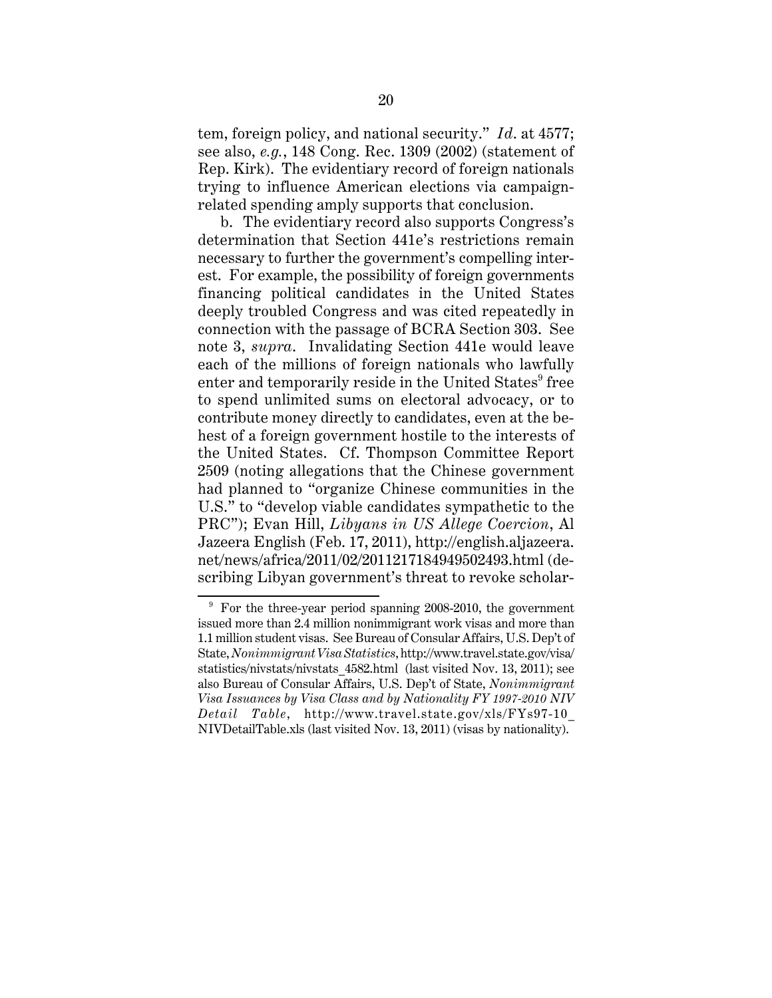tem, foreign policy, and national security." *Id*. at 4577; see also, *e.g.*, 148 Cong. Rec. 1309 (2002) (statement of Rep. Kirk). The evidentiary record of foreign nationals trying to influence American elections via campaignrelated spending amply supports that conclusion.

b. The evidentiary record also supports Congress's determination that Section 441e's restrictions remain necessary to further the government's compelling interest. For example, the possibility of foreign governments financing political candidates in the United States deeply troubled Congress and was cited repeatedly in connection with the passage of BCRA Section 303. See note 3, *supra*. Invalidating Section 441e would leave each of the millions of foreign nationals who lawfully enter and temporarily reside in the United States<sup>9</sup> free to spend unlimited sums on electoral advocacy, or to contribute money directly to candidates, even at the behest of a foreign government hostile to the interests of the United States. Cf. Thompson Committee Report 2509 (noting allegations that the Chinese government had planned to "organize Chinese communities in the U.S." to "develop viable candidates sympathetic to the PRC"); Evan Hill, *Libyans in US Allege Coercion*, Al Jazeera English (Feb. 17, 2011), http://english.aljazeera. net/news/africa/2011/02/2011217184949502493.html (describing Libyan government's threat to revoke scholar-

 $9$  For the three-year period spanning 2008-2010, the government issued more than 2.4 million nonimmigrant work visas and more than 1.1 million student visas. See Bureau of Consular Affairs, U.S. Dep't of State, *Nonimmigrant Visa Statistics*, http://www.travel.state.gov/visa/ statistics/nivstats/nivstats\_4582.html (last visited Nov. 13, 2011); see also Bureau of Consular Affairs, U.S. Dep't of State, *Nonimmigrant Visa Issuances by Visa Class and by Nationality FY 1997-2010 NIV Detail Table*, http://www.travel.state.gov/xls/FYs97-10\_ NIVDetailTable.xls (last visited Nov. 13, 2011) (visas by nationality).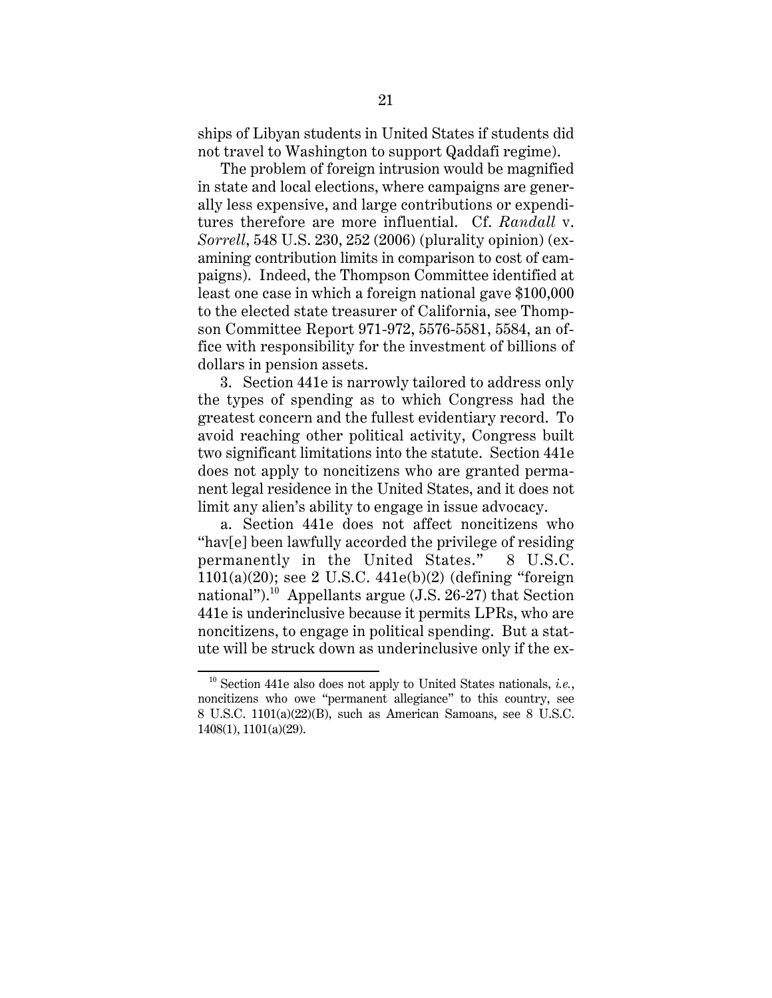ships of Libyan students in United States if students did not travel to Washington to support Qaddafi regime).

The problem of foreign intrusion would be magnified in state and local elections, where campaigns are generally less expensive, and large contributions or expenditures therefore are more influential. Cf. *Randall* v. *Sorrell*, 548 U.S. 230, 252 (2006) (plurality opinion) (examining contribution limits in comparison to cost of campaigns). Indeed, the Thompson Committee identified at least one case in which a foreign national gave \$100,000 to the elected state treasurer of California, see Thompson Committee Report 971-972, 5576-5581, 5584, an office with responsibility for the investment of billions of dollars in pension assets.

3. Section 441e is narrowly tailored to address only the types of spending as to which Congress had the greatest concern and the fullest evidentiary record. To avoid reaching other political activity, Congress built two significant limitations into the statute. Section 441e does not apply to noncitizens who are granted permanent legal residence in the United States, and it does not limit any alien's ability to engage in issue advocacy.

a. Section 441e does not affect noncitizens who "hav[e] been lawfully accorded the privilege of residing permanently in the United States." 8 U.S.C.  $1101(a)(20)$ ; see 2 U.S.C.  $441e(b)(2)$  (defining "foreign national").<sup>10</sup> Appellants argue (J.S. 26-27) that Section 441e is underinclusive because it permits LPRs, who are noncitizens, to engage in political spending. But a statute will be struck down as underinclusive only if the ex-

<sup>10</sup> Section 441e also does not apply to United States nationals, *i.e.*, noncitizens who owe "permanent allegiance" to this country, see 8 U.S.C. 1101(a)(22)(B), such as American Samoans, see 8 U.S.C. 1408(1), 1101(a)(29).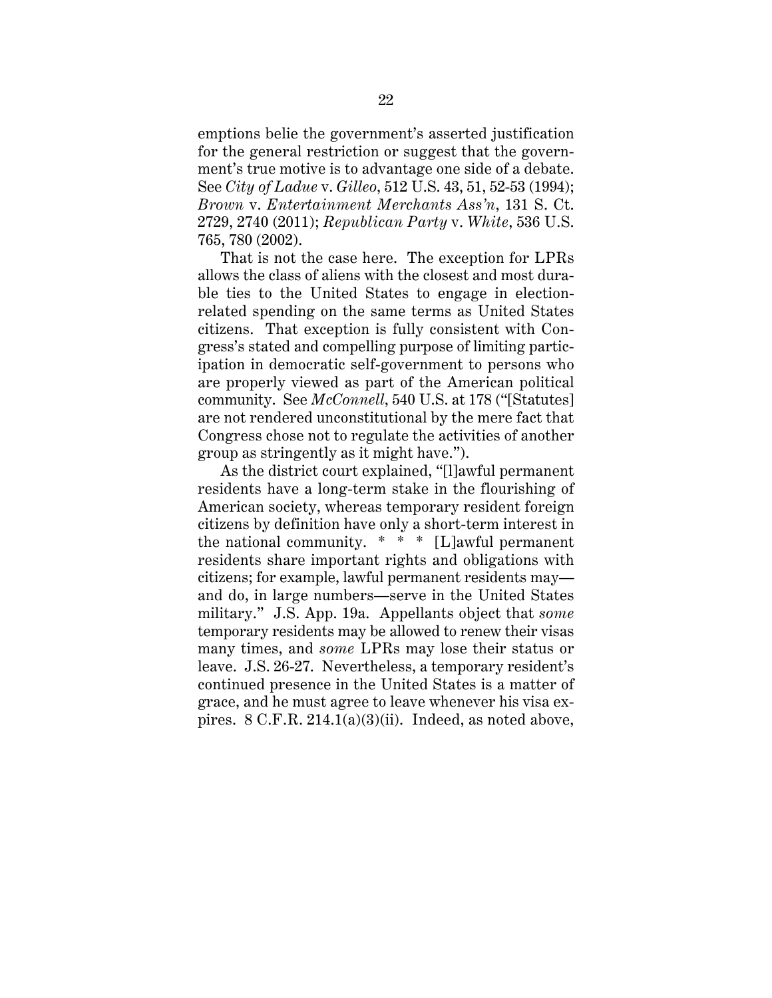emptions belie the government's asserted justification for the general restriction or suggest that the government's true motive is to advantage one side of a debate. See *City of Ladue* v. *Gilleo*, 512 U.S. 43, 51, 52-53 (1994); *Brown* v. *Entertainment Merchants Ass'n*, 131 S. Ct. 2729, 2740 (2011); *Republican Party* v. *White*, 536 U.S. 765, 780 (2002).

That is not the case here. The exception for LPRs allows the class of aliens with the closest and most durable ties to the United States to engage in electionrelated spending on the same terms as United States citizens. That exception is fully consistent with Congress's stated and compelling purpose of limiting participation in democratic self-government to persons who are properly viewed as part of the American political community. See *McConnell*, 540 U.S. at 178 ("[Statutes] are not rendered unconstitutional by the mere fact that Congress chose not to regulate the activities of another group as stringently as it might have.").

As the district court explained, "[l]awful permanent residents have a long-term stake in the flourishing of American society, whereas temporary resident foreign citizens by definition have only a short-term interest in the national community.  $* * |L|$  awful permanent residents share important rights and obligations with citizens; for example, lawful permanent residents may and do, in large numbers—serve in the United States military." J.S. App. 19a. Appellants object that *some* temporary residents may be allowed to renew their visas many times, and *some* LPRs may lose their status or leave. J.S. 26-27. Nevertheless, a temporary resident's continued presence in the United States is a matter of grace, and he must agree to leave whenever his visa expires. 8 C.F.R. 214.1(a)(3)(ii). Indeed, as noted above,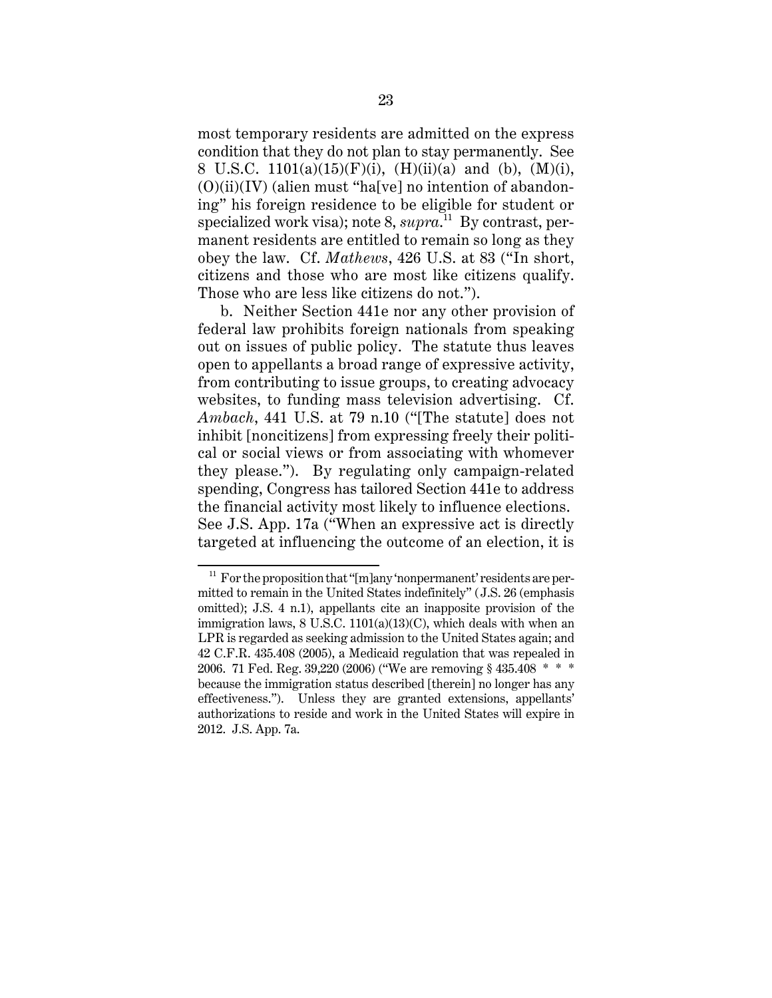most temporary residents are admitted on the express condition that they do not plan to stay permanently. See 8 U.S.C.  $1101(a)(15)(F)(i)$ ,  $(H)(ii)(a)$  and  $(b)$ ,  $(M)(i)$ ,  $(0)(ii)(IV)$  (alien must "ha[ve] no intention of abandoning" his foreign residence to be eligible for student or specialized work visa); note 8, *supra*. 11 By contrast, permanent residents are entitled to remain so long as they obey the law. Cf. *Mathews*, 426 U.S. at 83 ("In short, citizens and those who are most like citizens qualify. Those who are less like citizens do not.").

b. Neither Section 441e nor any other provision of federal law prohibits foreign nationals from speaking out on issues of public policy. The statute thus leaves open to appellants a broad range of expressive activity, from contributing to issue groups, to creating advocacy websites, to funding mass television advertising. Cf. *Ambach*, 441 U.S. at 79 n.10 ("[The statute] does not inhibit [noncitizens] from expressing freely their political or social views or from associating with whomever they please."). By regulating only campaign-related spending, Congress has tailored Section 441e to address the financial activity most likely to influence elections. See J.S. App. 17a ("When an expressive act is directly targeted at influencing the outcome of an election, it is

 $11$  For the proposition that "[m]any 'nonpermanent' residents are permitted to remain in the United States indefinitely" (J.S. 26 (emphasis omitted); J.S. 4 n.1), appellants cite an inapposite provision of the immigration laws, 8 U.S.C. 1101(a)(13)(C), which deals with when an LPR is regarded as seeking admission to the United States again; and 42 C.F.R. 435.408 (2005), a Medicaid regulation that was repealed in 2006. 71 Fed. Reg. 39,220 (2006) ("We are removing § 435.408 \* \* \* because the immigration status described [therein] no longer has any effectiveness."). Unless they are granted extensions, appellants' authorizations to reside and work in the United States will expire in 2012. J.S. App. 7a.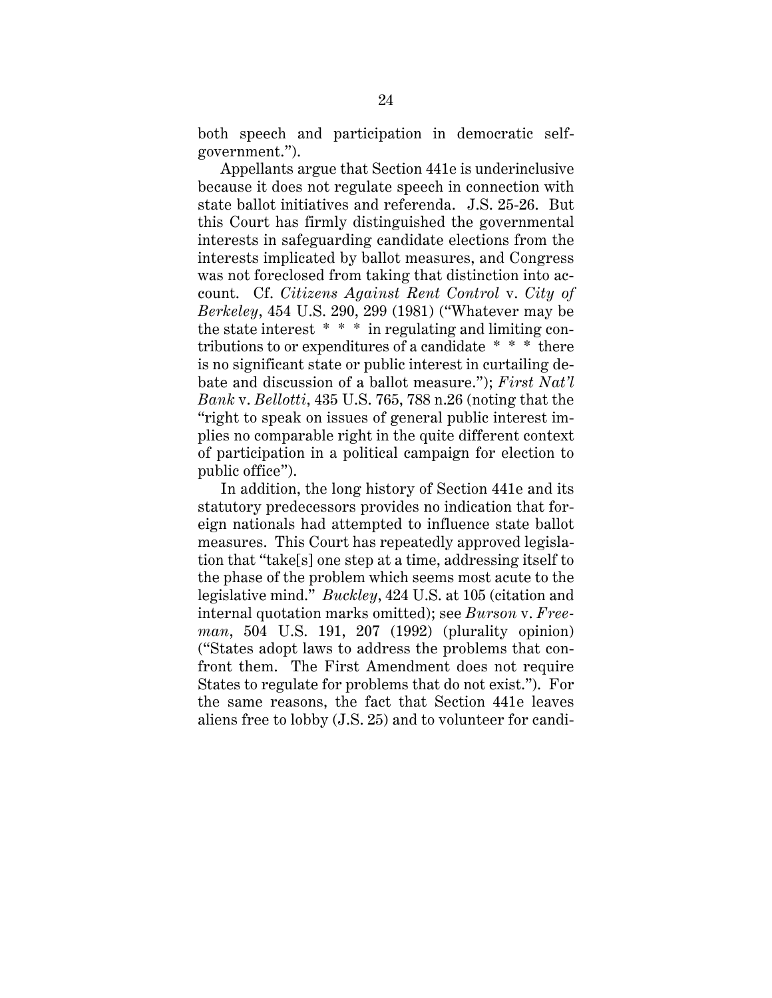both speech and participation in democratic selfgovernment.").

Appellants argue that Section 441e is underinclusive because it does not regulate speech in connection with state ballot initiatives and referenda. J.S. 25-26. But this Court has firmly distinguished the governmental interests in safeguarding candidate elections from the interests implicated by ballot measures, and Congress was not foreclosed from taking that distinction into account. Cf. *Citizens Against Rent Control* v. *City of Berkeley*, 454 U.S. 290, 299 (1981) ("Whatever may be the state interest \* \* \* in regulating and limiting contributions to or expenditures of a candidate \* \* \* there is no significant state or public interest in curtailing debate and discussion of a ballot measure."); *First Nat'l Bank* v. *Bellotti*, 435 U.S. 765, 788 n.26 (noting that the "right to speak on issues of general public interest implies no comparable right in the quite different context of participation in a political campaign for election to public office").

In addition, the long history of Section 441e and its statutory predecessors provides no indication that foreign nationals had attempted to influence state ballot measures. This Court has repeatedly approved legislation that "take[s] one step at a time, addressing itself to the phase of the problem which seems most acute to the legislative mind." *Buckley*, 424 U.S. at 105 (citation and internal quotation marks omitted); see *Burson* v. *Freeman*, 504 U.S. 191, 207 (1992) (plurality opinion) ("States adopt laws to address the problems that confront them. The First Amendment does not require States to regulate for problems that do not exist."). For the same reasons, the fact that Section 441e leaves aliens free to lobby (J.S. 25) and to volunteer for candi-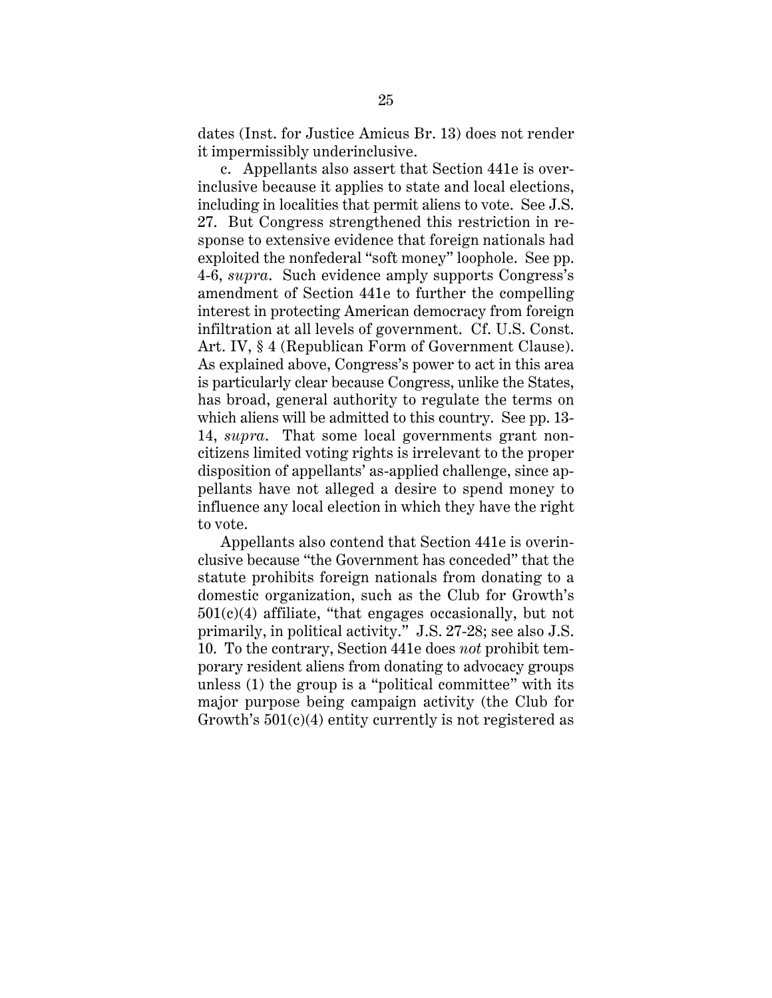dates (Inst. for Justice Amicus Br. 13) does not render it impermissibly underinclusive.

c. Appellants also assert that Section 441e is overinclusive because it applies to state and local elections, including in localities that permit aliens to vote. See J.S. 27. But Congress strengthened this restriction in response to extensive evidence that foreign nationals had exploited the nonfederal "soft money" loophole. See pp. 4-6, *supra*. Such evidence amply supports Congress's amendment of Section 441e to further the compelling interest in protecting American democracy from foreign infiltration at all levels of government. Cf. U.S. Const. Art. IV, § 4 (Republican Form of Government Clause). As explained above, Congress's power to act in this area is particularly clear because Congress, unlike the States, has broad, general authority to regulate the terms on which aliens will be admitted to this country. See pp. 13- 14, *supra*. That some local governments grant noncitizens limited voting rights is irrelevant to the proper disposition of appellants' as-applied challenge, since appellants have not alleged a desire to spend money to influence any local election in which they have the right to vote.

Appellants also contend that Section 441e is overinclusive because "the Government has conceded" that the statute prohibits foreign nationals from donating to a domestic organization, such as the Club for Growth's  $501(c)(4)$  affiliate, "that engages occasionally, but not primarily, in political activity." J.S. 27-28; see also J.S. 10. To the contrary, Section 441e does *not* prohibit temporary resident aliens from donating to advocacy groups unless (1) the group is a "political committee" with its major purpose being campaign activity (the Club for Growth's  $501(c)(4)$  entity currently is not registered as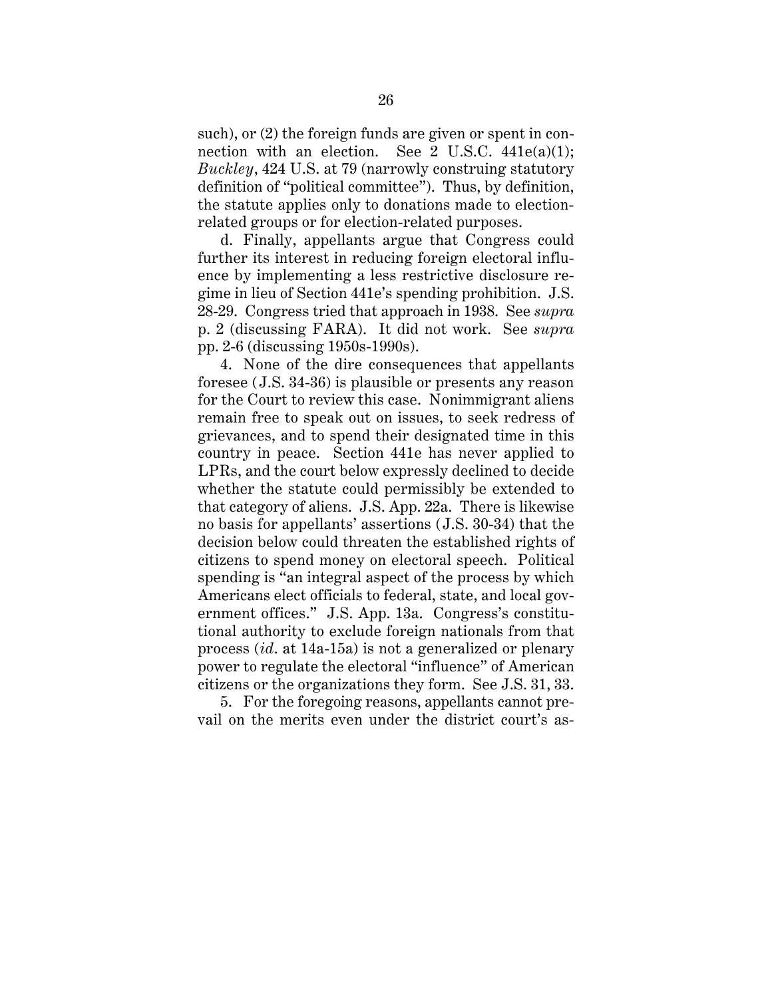such), or (2) the foreign funds are given or spent in connection with an election. See 2 U.S.C.  $441e(a)(1)$ ; *Buckley*, 424 U.S. at 79 (narrowly construing statutory definition of "political committee"). Thus, by definition, the statute applies only to donations made to electionrelated groups or for election-related purposes.

d. Finally, appellants argue that Congress could further its interest in reducing foreign electoral influence by implementing a less restrictive disclosure regime in lieu of Section 441e's spending prohibition. J.S. 28-29. Congress tried that approach in 1938. See *supra* p. 2 (discussing FARA). It did not work. See *supra* pp. 2-6 (discussing 1950s-1990s).

4. None of the dire consequences that appellants foresee (J.S. 34-36) is plausible or presents any reason for the Court to review this case. Nonimmigrant aliens remain free to speak out on issues, to seek redress of grievances, and to spend their designated time in this country in peace. Section 441e has never applied to LPRs, and the court below expressly declined to decide whether the statute could permissibly be extended to that category of aliens. J.S. App. 22a. There is likewise no basis for appellants' assertions (J.S. 30-34) that the decision below could threaten the established rights of citizens to spend money on electoral speech. Political spending is "an integral aspect of the process by which Americans elect officials to federal, state, and local government offices." J.S. App. 13a. Congress's constitutional authority to exclude foreign nationals from that process (*id*. at 14a-15a) is not a generalized or plenary power to regulate the electoral "influence" of American citizens or the organizations they form. See J.S. 31, 33.

5. For the foregoing reasons, appellants cannot prevail on the merits even under the district court's as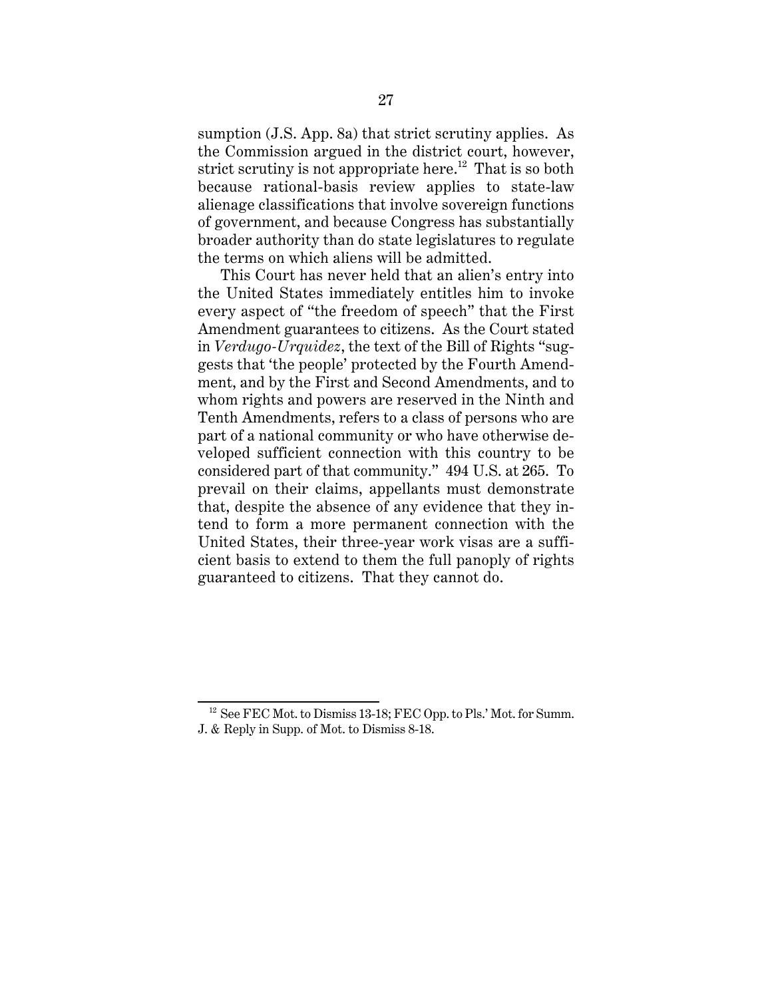sumption (J.S. App. 8a) that strict scrutiny applies. As the Commission argued in the district court, however, strict scrutiny is not appropriate here.<sup>12</sup> That is so both because rational-basis review applies to state-law alienage classifications that involve sovereign functions of government, and because Congress has substantially broader authority than do state legislatures to regulate the terms on which aliens will be admitted.

This Court has never held that an alien's entry into the United States immediately entitles him to invoke every aspect of "the freedom of speech" that the First Amendment guarantees to citizens. As the Court stated in *Verdugo-Urquidez*, the text of the Bill of Rights "suggests that 'the people' protected by the Fourth Amendment, and by the First and Second Amendments, and to whom rights and powers are reserved in the Ninth and Tenth Amendments, refers to a class of persons who are part of a national community or who have otherwise developed sufficient connection with this country to be considered part of that community." 494 U.S. at 265. To prevail on their claims, appellants must demonstrate that, despite the absence of any evidence that they intend to form a more permanent connection with the United States, their three-year work visas are a sufficient basis to extend to them the full panoply of rights guaranteed to citizens. That they cannot do.

 $12$  See FEC Mot. to Dismiss 13-18; FEC Opp. to Pls.' Mot. for Summ. J. & Reply in Supp. of Mot. to Dismiss 8-18.